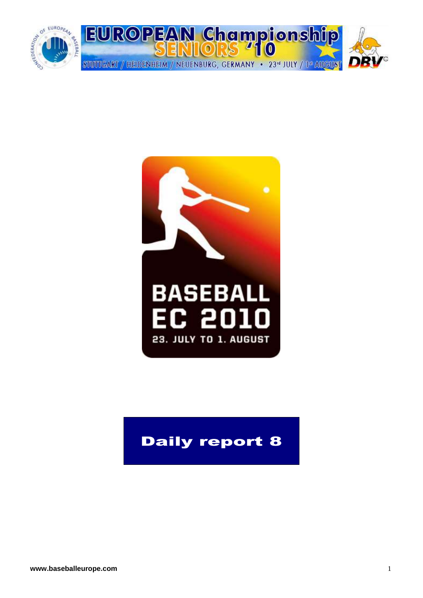



## Daily report 8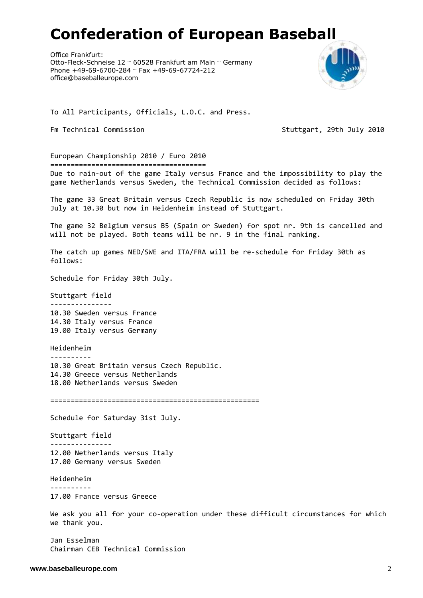# **Confederation of European Baseball**

Office Frankfurt: Otto-Fleck-Schneise 12 … 60528 Frankfurt am Main … Germany Phone +49-69-6700-284 … Fax +49-69-67724-212 office@baseballeurope.com



To All Participants, Officials, L.O.C. and Press.

Fm Technical Commission Stutteart, 29th July 2010

European Championship 2010 / Euro 2010 ======================================

Due to rain-out of the game Italy versus France and the impossibility to play the game Netherlands versus Sweden, the Technical Commission decided as follows:

The game 33 Great Britain versus Czech Republic is now scheduled on Friday 30th July at 10.30 but now in Heidenheim instead of Stuttgart.

The game 32 Belgium versus B5 (Spain or Sweden) for spot nr. 9th is cancelled and will not be played. Both teams will be nr. 9 in the final ranking.

The catch up games NED/SWE and ITA/FRA will be re-schedule for Friday 30th as follows:

Schedule for Friday 30th July.

Stuttgart field ---------------

10.30 Sweden versus France 14.30 Italy versus France 19.00 Italy versus Germany

Heidenheim ---------- 10.30 Great Britain versus Czech Republic. 14.30 Greece versus Netherlands 18.00 Netherlands versus Sweden

===================================================

Schedule for Saturday 31st July.

Stuttgart field --------------- 12.00 Netherlands versus Italy 17.00 Germany versus Sweden

Heidenheim

---------- 17.00 France versus Greece

We ask you all for your co-operation under these difficult circumstances for which we thank you.

Jan Esselman Chairman CEB Technical Commission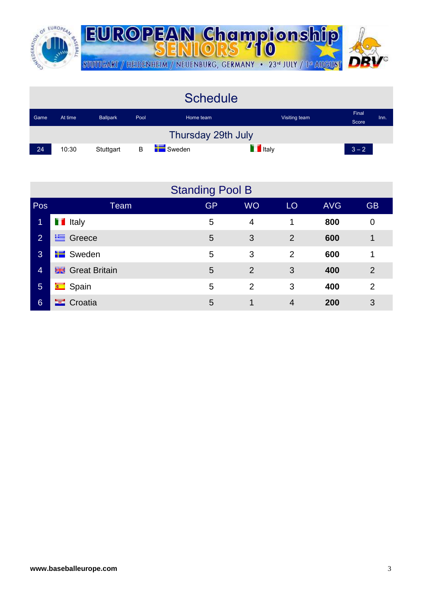

|      |         |                 |      | <b>Schedule</b>    |                |                |      |
|------|---------|-----------------|------|--------------------|----------------|----------------|------|
| Game | At time | <b>Ballpark</b> | Pool | Home team          | Visiting team  | Final<br>Score | Inn. |
|      |         |                 |      | Thursday 29th July |                |                |      |
| 24   | 10:30   | Stuttgart       | B    | Sweden             | <b>T</b> Italy | $3 - 2$        |      |

|                 |                         | <b>Standing Pool B</b> |                      |                |            |                |
|-----------------|-------------------------|------------------------|----------------------|----------------|------------|----------------|
| Pos             | Team                    | <b>GP</b>              | <b>WO</b>            | LO             | <b>AVG</b> | <b>GB</b>      |
| 1               | <b>T</b> Italy          | 5                      | $\overline{4}$       | 1              | 800        | $\mathbf 0$    |
| $\overline{2}$  | $\equiv$ Greece         | 5                      | 3                    | 2              | 600        | 1              |
| 3               | $\blacksquare$ Sweden   | 5                      | 3                    | $\overline{2}$ | 600        | 1              |
| $\overline{4}$  | <b>BE</b> Great Britain | 5                      | $\overline{2}$       | 3              | 400        | $\overline{2}$ |
| $5\overline{5}$ | <b>E</b> Spain          | 5                      | 2                    | 3              | 400        | $\overline{2}$ |
| 6               | <b>E</b> Croatia        | 5                      | $\blacktriangleleft$ | 4              | 200        | 3              |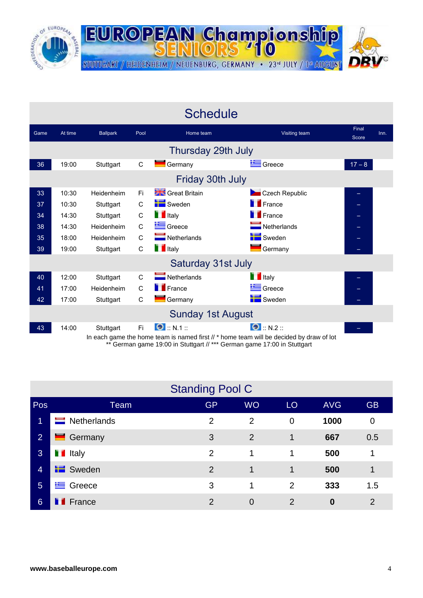

|      |         |                 |              | <b>Schedule</b>            |                                                                                                                |                |      |
|------|---------|-----------------|--------------|----------------------------|----------------------------------------------------------------------------------------------------------------|----------------|------|
| Game | At time | <b>Ballpark</b> | Pool         | Home team                  | Visiting team                                                                                                  | Final<br>Score | Inn. |
|      |         |                 |              | Thursday 29th July         |                                                                                                                |                |      |
| 36   | 19:00   | Stuttgart       | C            | Germany                    | Greece                                                                                                         | $17 - 8$       |      |
|      |         |                 |              | Friday 30th July           |                                                                                                                |                |      |
| 33   | 10:30   | Heidenheim      | Fi.          | Great Britain              | Czech Republic                                                                                                 | -              |      |
| 37   | 10:30   | Stuttgart       | $\mathsf{C}$ | Sweden                     | <b>France</b>                                                                                                  |                |      |
| 34   | 14:30   | Stuttgart       | $\mathsf C$  | <b>T</b> Italy             | <b>France</b>                                                                                                  | ÷              |      |
| 38   | 14:30   | Heidenheim      | $\mathsf{C}$ | Greece                     | $\blacksquare$ Netherlands                                                                                     |                |      |
| 35   | 18:00   | Heidenheim      | $\mathsf C$  | Netherlands                | Sweden                                                                                                         | $\Box$         |      |
| 39   | 19:00   | Stuttgart       | C            | <b>T</b> Italy             | $\blacksquare$ Germany                                                                                         |                |      |
|      |         |                 |              | Saturday 31st July         |                                                                                                                |                |      |
| 40   | 12:00   | Stuttgart       | $\mathsf{C}$ | $\blacksquare$ Netherlands | <b>T</b> Italy                                                                                                 |                |      |
| 41   | 17:00   | Heidenheim      | $\mathsf{C}$ | <b>France</b>              | Greece                                                                                                         |                |      |
| 42   | 17:00   | Stuttgart       | C            | $\blacksquare$ Germany     | Sweden                                                                                                         |                |      |
|      |         |                 |              | <b>Sunday 1st August</b>   |                                                                                                                |                |      |
| 43   | 14:00   | Stuttgart       | Fi.          | $\bullet$ :: N.1 ::        | $\bullet$ :: N.2 ::<br>In each game the home team is named first // * home team will be decided by draw of lot |                |      |

\*\* German game 19:00 in Stuttgart // \*\*\* German game 17:00 in Stuttgart

|                 |                     | <b>Standing Pool C</b> |                |                |                  |                |
|-----------------|---------------------|------------------------|----------------|----------------|------------------|----------------|
| Pos             | Team                | GP <sub>I</sub>        | <b>WO</b>      | LO             | <b>AVG</b>       | <b>GB</b>      |
| 1               | Netherlands<br>═    | 2                      | $\overline{2}$ | $\overline{0}$ | 1000             | 0              |
| $\overline{2}$  | Germany<br>▃        | 3                      | $\overline{2}$ | 1              | 667              | 0.5            |
| 3               | <b>T</b> Italy      | $\overline{2}$         | 1              | 1              | 500              | 1              |
| $\overline{4}$  | <b>E</b> Sweden     | 2                      | 1              | 1              | 500              | 1              |
| $5\phantom{1}$  | Greece<br><u>ts</u> | 3                      | 1              | 2              | 333              | 1.5            |
| $6\overline{6}$ | France              | $\overline{2}$         | $\overline{0}$ | $\overline{2}$ | $\boldsymbol{0}$ | $\overline{2}$ |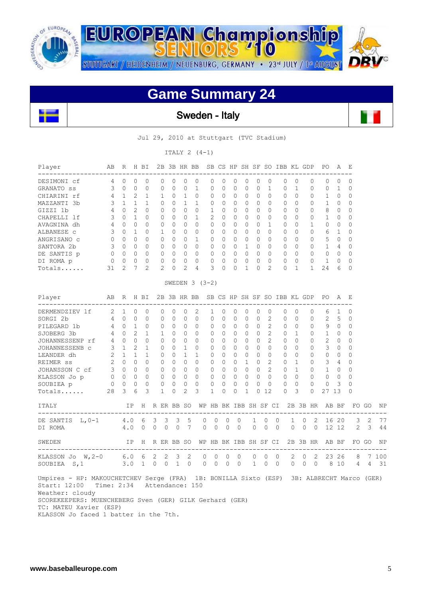

**EUROPEAN Championship** STUTTGART / HEIDENHEIM / NEUENBURG, GERMANY · 23rd JULY / 1st AUGUST

 $\mathbf{r}$ 

## **Game Summary 24**



Sweden - Italy

Jul 29, 2010 at Stuttgart (TVC Stadium)

ITALY 2 (4-1)

| Player<br>----------------                                                                                                  | AB                         |                | R H BI          |                |                   |                |              |                |                                    |                |              |                                |              |              |                            | 2B 3B HR BB SB CS HP SH SF SO IBB KL GDP |                            |              |                | PO.                                                  | A              | E            |       |       |
|-----------------------------------------------------------------------------------------------------------------------------|----------------------------|----------------|-----------------|----------------|-------------------|----------------|--------------|----------------|------------------------------------|----------------|--------------|--------------------------------|--------------|--------------|----------------------------|------------------------------------------|----------------------------|--------------|----------------|------------------------------------------------------|----------------|--------------|-------|-------|
| DESIMONI cf                                                                                                                 | 4                          | $\Omega$       | $\Omega$        | $\Omega$       | $\Omega$          |                | 0            | $\Omega$       | $\Omega$                           | 0              | $\Omega$     | $\Omega$                       | $\Omega$     | 0            | $\Omega$                   | $\Omega$                                 |                            | $\Omega$     | 0              | 0                                                    | $\mathbf{0}$   | $\Omega$     |       |       |
| GRANATO SS                                                                                                                  | 3                          | $\overline{0}$ | $\Omega$        | $\Omega$       | $\circ$           |                | $\Omega$     | $\circ$        | $\mathbf{1}$                       | $\Omega$       | $\circ$      | $\Omega$                       | $\Omega$     | $\Omega$     | $\mathbf{1}$               | $\circ$                                  |                            | $\mathbf{1}$ | $\Omega$       | 0                                                    | 1              | $\Omega$     |       |       |
| CHIARINI rf                                                                                                                 | $\overline{4}$             | 1              | 2               | $\mathbf{1}$   | 1                 |                | $\Omega$     | $\mathbf{1}$   | $\Omega$                           | $\Omega$       | $\Omega$     | $\Omega$                       | $\Omega$     | $\Omega$     | $\Omega$                   | $\Omega$                                 |                            | $\Omega$     | $\Omega$       | $\mathbf{1}$                                         | $\bigcirc$     | $\Omega$     |       |       |
| MAZZANTI 3b                                                                                                                 | 3                          | 1              | $\mathbf{1}$    | $\mathbf{1}$   | $\Omega$          |                | $\Omega$     | 1              | $\mathbf{1}$                       | $\Omega$       | $\Omega$     | $\Omega$                       | $\Omega$     | $\Omega$     | $\Omega$                   | $\Omega$                                 |                            | $\Omega$     | $\Omega$       | $\mathbf{1}$                                         | $\overline{0}$ | $\Omega$     |       |       |
| GIZZI 1b                                                                                                                    | 4                          | $\Omega$       | $\mathcal{P}$   | $\Omega$       | $\Omega$          |                | $\Omega$     | $\Omega$       | $\Omega$                           | $\mathbf{1}$   | $\Omega$     | $\Omega$                       | $\Omega$     | $\Omega$     | $\Omega$                   | $\Omega$                                 |                            | $\Omega$     | $\Omega$       | 8                                                    | $\bigcirc$     | $\Omega$     |       |       |
| CHAPELLI lf                                                                                                                 | 3                          | $\Omega$       | $\mathbf{1}$    | $\Omega$       | $\Omega$          |                | $\Omega$     | 0              | $\mathbf{1}$                       | $\overline{c}$ | $\Omega$     | $\Omega$                       | $\Omega$     | $\Omega$     | $\Omega$                   | $\Omega$                                 |                            | $\Omega$     | $\mathbf 0$    | $\mathbf{1}$                                         | $\overline{0}$ | $\Omega$     |       |       |
| AVAGNINA dh                                                                                                                 | 4                          | $\overline{0}$ | $\Omega$        | $\Omega$       | $\circ$           |                | $\Omega$     | 0              | $\Omega$                           | 0              | 0            | $\mathbf 0$                    | $\Omega$     | $\Omega$     | $\mathbf{1}$               | $\circ$                                  |                            | $\Omega$     | 1              | 0                                                    | $\overline{0}$ | $\Omega$     |       |       |
| ALBANESE C                                                                                                                  | 3                          | $\Omega$       | $\mathbf{1}$    | $\Omega$       | $\mathbf{1}$      |                | $\Omega$     |                | $0\quad 0$                         | $\Omega$       | $\Omega$     | $\mathbf{0}$                   | $\Omega$     | $\Omega$     | $\Omega$                   | $\Omega$                                 |                            | $\Omega$     | $\Omega$       | 6 1                                                  |                | $\Omega$     |       |       |
| ANGRISANO C                                                                                                                 | $\mathbf{0}$               | $\bigcirc$     | $\Omega$        | $\Omega$       | $\Omega$          |                | $\Omega$     | $\overline{0}$ | $\mathbf{1}$                       | $\Omega$       | $\Omega$     | $\Omega$                       | $\circ$      | $\Omega$     | $\Omega$                   | $\circ$                                  |                            | $\Omega$     | $\Omega$       | $5\qquad$                                            |                | $\Omega$     |       |       |
| SANTORA 2b                                                                                                                  | 3                          | $\bigcirc$     | $\Omega$        | $\Omega$       | $\circ$           | $\bigcirc$     |              | $0 \quad 0$    |                                    | $\Omega$       | $\Omega$     | $\Omega$                       | $\mathbf{1}$ | $\Omega$     | $\Omega$                   | $\Omega$                                 |                            | $\Omega$     | $\Omega$       | $\mathbf{1}$                                         | $\overline{4}$ | $\Omega$     |       |       |
| DE SANTIS p                                                                                                                 |                            | $0\quad 0$     | $\mathbf{0}$    | $\overline{0}$ | $\overline{0}$    | $\bigcirc$     |              | $0\quad 0$     |                                    | 0              | $\Omega$     | $\circ$                        | $\Omega$     | $\bigcirc$   | $\Omega$                   |                                          | $\Omega$<br>$\bigcirc$     |              | $\Omega$       | $0\quad 0$                                           |                | $\Omega$     |       |       |
| DI ROMA p                                                                                                                   | $0\qquad 0$                |                | $\Omega$        | $\Omega$       | $\circ$           |                | $\Omega$     | $\circ$        | $\Omega$                           | $\mathbf 0$    | $\Omega$     | $\mathbf{0}$                   | $\Omega$     | $\Omega$     | $\Omega$                   | $\circ$                                  |                            | $\Omega$     | $\overline{0}$ | $\mathbf{1}$                                         | $\overline{0}$ | $\Omega$     |       |       |
| Totals                                                                                                                      | 31                         | $\overline{2}$ | $7\phantom{.0}$ | $\overline{c}$ | $\overline{c}$    |                | 0            | $\overline{2}$ | $\overline{4}$                     | 3              | $\circ$      | $\mathbf{0}$                   | $\mathbf{1}$ | $\circ$      | 2                          | $\Omega$                                 | $\overline{1}$             |              | $\mathbf{1}$   | 24                                                   | 6              | $\Omega$     |       |       |
|                                                                                                                             |                            |                |                 |                |                   |                |              |                | SWEDEN $3$ (3-2)                   |                |              |                                |              |              |                            |                                          |                            |              |                |                                                      |                |              |       |       |
| Player                                                                                                                      | AВ                         |                |                 | R H BI         |                   |                |              |                |                                    |                |              |                                |              |              |                            | 2B 3B HR BB SB CS HP SH SF SO IBB KL GDP |                            |              |                | PO A                                                 |                | - E          |       |       |
| _____________________<br>DERMENDZIEV lf                                                                                     | 2                          | 1              | $\Omega$        | $\Omega$       | $\Omega$          |                | $\Omega$     | $\Omega$       | 2                                  | $\mathbf{1}$   | $\Omega$     | $\Omega$                       | $\Omega$     | $\Omega$     | $\Omega$                   | $\Omega$                                 |                            | $\Omega$     | 0              | 6                                                    | 1              | $\Omega$     |       |       |
| SORGI 2b                                                                                                                    | 4                          | $\overline{0}$ | $\circ$         | 0              | 0                 |                | 0            | $\circ$        | $\circ$                            | 0              | 0            | $\mathbf{0}$                   | 0            | $\mathbf{0}$ | 2                          | 0                                        |                            | $\Omega$     | 0              | 2                                                    | 5              | 0            |       |       |
| PILEGARD 1b                                                                                                                 |                            | 4 0 1          |                 | $\Omega$       | $\circ$           |                | $\Omega$     | $0\quad 0$     |                                    | $\circ$        | $\circ$      | $\circ$                        | $\Omega$     | $\bigcirc$   | $\overline{2}$             |                                          | $0 \quad 0$                |              | $\mathbf{0}$   | 9 0                                                  |                | $\mathbf{0}$ |       |       |
| SJOBERG 3b                                                                                                                  | 4                          | $\overline{0}$ | 2               | $\mathbf{1}$   | $\mathbf{1}$      |                | $\Omega$     | $\overline{0}$ | $\Omega$                           | 0              | $\circ$      | $\mathbf{0}$                   | 0            | $\bigcirc$   | $\mathbf{2}^{\prime}$      | $\mathbf{0}$                             | $\overline{1}$             |              | $\circ$        | $1 \quad 0$                                          |                | $\Omega$     |       |       |
| JOHANNESSENP rf                                                                                                             | $\overline{4}$             | $\Omega$       | $\Omega$        | $\Omega$       | $\Omega$          |                | $\Omega$     | $\Omega$       | $\Omega$                           | $\Omega$       | $\Omega$     | $\Omega$                       | $\Omega$     | $\Omega$     | $\overline{2}$             | $\Omega$                                 | $\bigcirc$                 |              | $\Omega$       | $\overline{2}$                                       | $\overline{0}$ | $\Omega$     |       |       |
| JOHANNESSENB C                                                                                                              | 3                          | $\mathbf{1}$   | $\overline{c}$  | $\mathbf{1}$   | $\Omega$          |                | $\Omega$     | 1              | $\Omega$                           | $\Omega$       | $\Omega$     | $\Omega$                       | $\Omega$     | $\Omega$     | $\Omega$                   | $\Omega$                                 |                            | $\Omega$     | $\Omega$       | $3 \quad 0$                                          |                | $\Omega$     |       |       |
| LEANDER dh                                                                                                                  | $\overline{2}$             | 1              | $\mathbf{1}$    | $\mathbf{1}$   | $\circ$           |                | $\Omega$     | 1              | $\mathbf{1}$                       | 0              | $\Omega$     | $\Omega$                       | $\Omega$     | $\Omega$     | $\Omega$                   |                                          | $\Omega$                   | $\Omega$     | $\Omega$       | $0\quad 0$                                           |                | $\Omega$     |       |       |
| REIMER SS                                                                                                                   |                            | $2 \quad 0$    | $\Omega$        | $\Omega$       | $\circ$           |                | $\Omega$     |                | $0\quad 0$                         | 0              | $\Omega$     | $\mathbf{0}$                   | $\mathbf{1}$ | $\Omega$     | $\overline{2}$             |                                          | $\overline{1}$<br>$\Omega$ |              | $\circ$        | $3 \quad 4$                                          |                | $\Omega$     |       |       |
| JOHANSSON C cf                                                                                                              | 3 0 0                      |                |                 | $\Omega$       | $\mathbf{0}$      | $\bigcirc$     |              | $0\quad 0$     |                                    | $\Omega$       | $\Omega$     | $\Omega$                       | $\Omega$     |              | $\overline{2}$<br>$\Omega$ |                                          | $\overline{1}$<br>$\Omega$ |              | $\Omega$       | $1 \quad 0$                                          |                | $\Omega$     |       |       |
| KLASSON Jo p                                                                                                                | $0\quad 0\quad 0$          |                |                 | $\overline{0}$ | $\circ$           | $\bigcirc$     |              |                | $0\quad 0$                         | $\Omega$       | $\Omega$     | $\circ$                        | $\Omega$     | $\Omega$     | $\Omega$                   | $\Omega$                                 | $\bigcirc$                 |              | $\Omega$       | $\mathbf{0}$                                         | $\overline{0}$ | $\Omega$     |       |       |
| SOUBIEA p                                                                                                                   | $0\quad 0$                 |                | $\Omega$        | $\Omega$       | $\Omega$          |                | $\Omega$     | $\Omega$       | $\Omega$                           | $\Omega$       | $\Omega$     | $\Omega$                       | $\Omega$     | $\Omega$     | $\Omega$                   | $\Omega$                                 |                            | $\Omega$     | $\Omega$       | 0                                                    | 3              | $\Omega$     |       |       |
| Totals                                                                                                                      | 28                         | 3              | 6               | 3              | $\mathbf{1}$      |                | $\Omega$     | $\overline{c}$ | 3                                  | $\mathbf 1$    | 0            | $\mathbf{0}$                   | $\mathbf{1}$ |              | 0 <sub>12</sub>            | 0                                        |                            | 3            | $\Omega$       | 27 13                                                |                | $\Omega$     |       |       |
| <b>ITALY</b>                                                                                                                |                            |                |                 |                |                   |                |              |                |                                    |                |              |                                |              |              |                            |                                          |                            |              |                | IP H R ER BB SO WP HB BK IBB SH SF CI 2B 3B HR AB BF |                |              | FO GO | NP    |
| DE SANTIS<br>$L$ , 0-1                                                                                                      |                            |                | 4.0             | 6              | 3                 | 3              | 3            | 5              |                                    | 0              | $\Omega$     | $\Omega$                       | $\Omega$     | $\mathbf{1}$ | $\mathbf{0}$               | $\mathbf{0}$                             | 1                          | $\Omega$     | 2              |                                                      | 16 20          | 3            | 2     | 77    |
| DI ROMA                                                                                                                     |                            | 4.0            |                 | $\mathbf{0}$   | 0                 | $\overline{0}$ | $\mathbf{0}$ | 7              |                                    | 0              | $\mathbf 0$  | $\mathbf{0}$                   | $\mathbf{0}$ | $\circ$      | $\circ$                    | $\overline{0}$                           | 0                          |              | $0\quad 0$     |                                                      | 12 12          | 2            | 3     | 44    |
| SWEDEN                                                                                                                      |                            |                | ΙP              |                |                   |                |              |                | H R ER BB SO WP HB BK IBB SH SF CI |                |              |                                |              |              |                            |                                          |                            |              | 2B 3B HR       |                                                      | AB BF          |              | FO GO | ΝF    |
| KLASSON Jo $W, 2-0$ 6.0 6                                                                                                   |                            |                |                 |                | 2                 | 2              | 3            | 2              |                                    | 0              | $\mathbf{0}$ | $\Omega$                       | $\mathbf{0}$ | 0            | 0                          | $\overline{0}$                           | 2                          | $\circ$      | 2              |                                                      | 23 26          | 8            |       | 7 100 |
| SOUBIEA S, 1                                                                                                                |                            |                |                 |                | $3.0 \t1 \t0 \t0$ |                |              | $1 \quad 0$    |                                    | 0              | $\circ$      | $\mathbf{0}$<br>$\overline{0}$ |              | 1            | $\overline{0}$             | $\bigcirc$                               | $\overline{0}$             |              | $0\quad 0$     |                                                      | 8 10           | 4            |       | 4 31  |
| Umpires - HP: MAKOUCHETCHEV Serge (FRA) 1B: BONILLA Sixto (ESP) 3B: ALBRECHT Marco (GER)<br>Start: 12:00<br>Weather: cloudy | Time: 2:34 Attendance: 150 |                |                 |                |                   |                |              |                |                                    |                |              |                                |              |              |                            |                                          |                            |              |                |                                                      |                |              |       |       |

 SCOREKEEPERS: MUENCHEBERG Sven (GER) GILK Gerhard (GER) TC: MATEU Xavier (ESP) KLASSON Jo faced 1 batter in the 7th.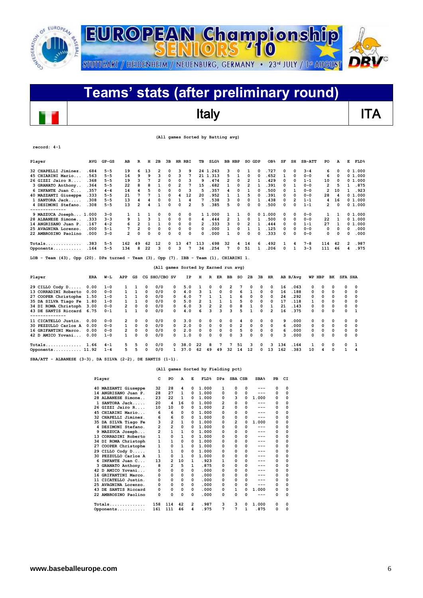

### **Teams' stats (after preliminary round)**  $\overline{\phantom{a}}$ Italy **ITA**

 **(All games Sorted by Batting avg)**

| record: 4-1                                                                            |            |           |                         |                |              |               |   |              |                |                                      |              |                         |                |                |                |          |                 |     |                |               |                |          |                |                |             |
|----------------------------------------------------------------------------------------|------------|-----------|-------------------------|----------------|--------------|---------------|---|--------------|----------------|--------------------------------------|--------------|-------------------------|----------------|----------------|----------------|----------|-----------------|-----|----------------|---------------|----------------|----------|----------------|----------------|-------------|
| Player                                                                                 | <b>AVG</b> | $GP - GS$ | AB                      | R              | н            | 2B            |   |              | 3B HR RBI      | TВ                                   |              | $SLG\%$                 | BB HBP         |                | SO GDP         |          | OB <sub>8</sub> | SF  | SH             | <b>SB-ATT</b> | PO             |          | A              | Е              | <b>FLD%</b> |
| 32 CHAPELLI Jiminez.                                                                   | .684       | $5 - 5$   | 19                      | 6              | 13           | 2             | 0 | 3            | 9              |                                      | 24 1.263     |                         | з              | 0              | 1              | $\Omega$ | . 727           | 0   | 0              | $3 - 4$       | 6              |          | n              | 0 1.000        |             |
| 45 CHIARINI Mario                                                                      | .563       | $5 - 5$   | 16                      | 9              | 9            | 3             | 0 | 3            | 7              |                                      | 21 1.313     |                         | 5              | $\mathbf{1}$   | 0              | $\Omega$ | .652            | 1   | $\Omega$       | $0 - 0$       | 6              |          | $\Omega$       | 01.000         |             |
| 26 GIZZI Jairo R                                                                       | .368       | $5 - 5$   | 19                      | 3              | 7            | 2             | 0 | 0            | 3              | 9                                    | .474         |                         | $\overline{2}$ | 0              | $\overline{2}$ | 1        | .429            | 0   | 0              | $1 - 1$       | 10             |          | 0              | 01.000         |             |
| 3 GRANATO Anthony                                                                      | .364       | $5 - 5$   | 22                      | 8              | 8            | 1             | 0 | 2            | 7              | 15                                   | .682         |                         | 1              | 0              | 2              | 1        | .391            | 0   | 1              | $0 - 0$       | 2              |          | 5              | $\mathbf{1}$   | .875        |
| 6 INFANTE Juan C                                                                       | .357       | $4 - 4$   | 14                      | 4              | 5            | 0             | 0 | $\Omega$     | 3              | 5                                    | .357         |                         | 4              | 0              | 1              | 0        | .500            | 0   | 1              | $0 - 0$       | 2              | 10       |                | $\mathbf{1}$   | .923        |
| 40 MAZZANTI Giuseppe                                                                   | .333       | $5 - 5$   | 21                      | 7              | 7            | $\mathbf{1}$  | 0 | 4            | 12             | 20                                   | .952         |                         | 1              | $\mathbf{1}$   | 5              | 0        | .391            | 0   | $\Omega$       | $0 - 0$       | 28             |          | 4              | 01.000         |             |
| 1 SANTORA Jack                                                                         | .308       | $5 - 5$   | 13                      | 4              | 4            | $\Omega$      | O | 1            | 4              | 7                                    | .538         |                         | 3              | 0              | 0              | 1        | .438            | 0   | $\overline{2}$ | $1 - 1$       | 4              | 16       |                | 01.000         |             |
| 4 DESIMONI Stefano.<br>--------------                                                  | .308       | $5 - 5$   | 13                      | $\overline{2}$ | 4            | $\mathbf{1}$  | 0 | 0            | $\overline{2}$ | 5                                    | .385         |                         | 5              | $\Omega$       | 0              | 0        | .500            | 0   | $\Omega$       | $1 - 1$       | $\overline{2}$ |          | 0              | 01.000         |             |
| 9 MAZZUCA Joseph 1.000                                                                 |            | $3 - 0$   | 1                       | 1              | 1            | 0             | 0 | 0            | 0              |                                      | 1 1.000      |                         | 1              | 1              | 0              |          | 01.000          | 0   | $\Omega$       | $0 - 0$       | 1              |          | 1              | 0 1.000        |             |
| 28 ALBANESE Simone                                                                     | .333       | $3 - 3$   | 9                       | $\mathbf{1}$   | 3            | $\mathbf{1}$  | 0 | $\Omega$     | 0              | 4                                    | .444         |                         | $\overline{2}$ | $\mathbf{1}$   | 0              | 1        | .500            | 0   | 0              | $0 - 0$       | 22             |          | 1              | 0 1.000        |             |
| 14 ANGRISANO Juan P.                                                                   | .167       | $4 - 2$   | 6                       | $\overline{2}$ | $\mathbf{1}$ | 1             | 0 | 0            | 0              | $\overline{2}$                       | .333         |                         | 3              | 0              | 2              | 1        | .444            | 0   | 0              | $1 - 1$       | 27             |          | 1              | 01.000         |             |
| 25 AVAGNINA Lorenzo.                                                                   | .000       | $5 - 1$   | 7                       | $\overline{2}$ | 0            | 0             | 0 | $\Omega$     | 0              | 0                                    | .000         |                         | 1              | 0              | 1              | 1        | .125            | 0   | $\Omega$       | $0 - 0$       | 0              |          | 0              | 0              | .000        |
| 22 AMBROSINO Paolino                                                                   | .000       | $3 - 0$   | $\overline{2}$          | 0              | 0            | $\Omega$      | O | O            | 0              | $\Omega$                             | .000         |                         | 1              | $\Omega$       | 0              | 0        | .333            | 0   | $\Omega$       | $0 - 0$       | 0              |          | O              | 0              | .000        |
| $\texttt{Totals} \dots \dots \dots \dots \dots$                                        | .383       | $5 - 5$   | 162                     | 49             | 62           | 12            | 0 | 13           | 47             | 113                                  | .698         |                         | 32             | 4              | 14             | 6        | .492            | 1   | 4              | $7 - 8$       | 114            | 42       |                | $\overline{2}$ | .987        |
| Opponents                                                                              | .164       | $5 - 5$   | 134                     | 8              | 22           | 3             | 0 | 3            | 7              | 34                                   | .254         |                         | 7              | 0              | 51             | 1        | .206            | 0   | 1              | $3 - 3$       | 111            | 46       |                | 4              | .975        |
| LOB - Team (43), Opp (20). DPs turned - Team (3), Opp (7). IBB - Team (1), CHIARINI 1. |            |           |                         |                |              |               |   |              |                | (All games Sorted by Earned run avg) |              |                         |                |                |                |          |                 |     |                |               |                |          |                |                |             |
| Player                                                                                 | <b>ERA</b> | W−L       | APP                     | GS             |              | CG SHO/CBO SV |   |              | ΙP             | н                                    | R            | ER                      | BB             | so             | 2B             | 3B       | HR.             |     | AB B/Avq       |               | WP HBP         | вĸ       | <b>SFA SHA</b> |                |             |
| 29 CILLO Cody D                                                                        | 0.00       | $1 - 0$   | 1                       | 1              | 0            | 0/0           |   | 0            | 5.0            | 1                                    | 0            | O                       | 2              |                | 0              | 0        | $\Omega$        | 16  | .063           | 0             | 0              | $\Omega$ | 0              | 0              |             |
| 13 CORRADINI Roberto                                                                   | 0.00       | $0 - 0$   | $\mathbf{1}$            | $\mathbf{1}$   | $\Omega$     | 0/0           |   | 0            | 4.0            | 3                                    | $\mathbf{1}$ | 0                       | 0              | 6              | $\mathbf{1}$   | 0        | 0               | 16  | .188           | 0             | 0              | 0        | 0              | 0              |             |
| 27 COOPER Christophe                                                                   | 1.50       | $1 - 0$   | 1                       | $\mathbf{1}$   | $\Omega$     | 0/0           |   | 0            | 6.0            | 7                                    | $\mathbf{1}$ | $\mathbf{1}$            | 1              | 6              | 0              | 0        | 0               | 24  | .292           | 0             | 0              | 0        | 0              | 0              |             |
| 35 DA SILVA Tiago Fe                                                                   | 1.80       | $1 - 0$   | 1                       | 1              | $\Omega$     | 0/0           |   | 0            | 5.0            | $\overline{2}$                       | 1            | 1                       | $\mathbf{1}$   | 5              | 0              | 0        | 0               | 17  | .118           | 1             | 0              | $\Omega$ | 0              | O              |             |
| 34 DI ROMA Christoph                                                                   | 3.00       | $0 - 0$   | $\overline{\mathbf{c}}$ | 0              | $\mathbf 0$  | 0/0           |   | 0            | 6.0            | 3                                    | 2            | $\overline{\mathbf{c}}$ | 0              | 8              | 1              | 0        | $\mathbf{1}$    | 21  | .143           | 0             | $\Omega$       | 0        | 0              | O              |             |
| 43 DE SANTIS Riccard 6.75<br>--------------                                            |            | $0 - 1$   | 1                       | 1              | $\Omega$     | 0/0           |   | 0            | 4.0            | 6                                    | 3            | ٩                       | 3              | 5              | $\mathbf{1}$   | $\Omega$ | $\overline{2}$  | 16  | .375           | 0             | $\Omega$       | $\Omega$ | $\Omega$       | $\mathbf{1}$   |             |
| 11 CICATELLO Justin.                                                                   | 0.00       | $0 - 0$   | 2                       | $\Omega$       | $\Omega$     | 0/0           |   | 0            | 3.0            | 0                                    | 0            | 0                       | 0              | 4              | 0              | 0        | 0               | 9   | .000           | 0             | 0              | 0        | 0              | 0              |             |
| 30 PEZZULLO Carlos A                                                                   | 0.00       | $0 - 0$   | $\mathbf{1}$            | 0              | $\Omega$     | 0/0           |   | 0            | 2.0            | 0                                    | 0            | 0                       | 0              | $\overline{2}$ | 0              | 0        | 0               | 6   | .000           | 0             | 0              | $\Omega$ | $\Omega$       | $\Omega$       |             |
| 16 GRIFANTINI Marco.                                                                   | 0.00       | $0 - 0$   | 2                       | 0              | 0            | 0/0           |   | 0            | 2.0            | 0                                    | 0            | 0                       | 0              | 5              | 0              | 0        | 0               | 6   | .000           | 0             | 0              | 0        | 0              | 0              |             |
| 42 D AMICO Yovani                                                                      | 0.00       | $1 - 0$   | 1                       | 0              | $\Omega$     | 0/0           |   | <sup>o</sup> | 1.0            | 0                                    | 0            | $\Omega$                | 0              | 3              | 0              | $\Omega$ | 0               | 3   | .000           | 0             | 0              | $\Omega$ | 0              | O              |             |
| Totals 1.66                                                                            |            | $4 - 1$   | 5                       | 5              | $\Omega$     | 0/0           |   | 0            | 38.0           | 22                                   | 8            | 7                       | 7              | 51             | з              | 0        | 3               | 134 | .164           | 1             | 0              | $\Omega$ | 0              | 1              |             |
| Opponents 11.92                                                                        |            | $1 - 4$   | 5                       | 5              | $\Omega$     | 0/0           |   | $\mathbf{1}$ | 37.0           | 62                                   | 49           | 49                      | 32             | 14             | 12             | 0        | 13              | 162 | .383           | 10            | 4              | $\Omega$ | $\mathbf{1}$   | 4              |             |

**SBA/ATT - ALBANESE (3-3), DA SILVA (2-2), DE SANTIS (1-1).** 

#### **(All games Sorted by Fielding pct)**

|   | Player               | c   | PO             | A  | E | FLD <sup>8</sup> | DPs          | SBA CSB |          | SBA <sup>8</sup> | PB | CI       |
|---|----------------------|-----|----------------|----|---|------------------|--------------|---------|----------|------------------|----|----------|
|   | 40 MAZZANTI Giuseppe | 32  | 28             | 4  | 0 | 1.000            | 1            | 0       | 0        | ---              | 0  | $\Omega$ |
|   | 14 ANGRISANO Juan P. | 28  | 27             | 1  | 0 | 1.000            | 0            | 0       | 0        | ---              | 0  | 0        |
|   | 28 ALBANESE Simone   | 23  | 22             | 1  | 0 | 1.000            | 0            | з       | 0        | 1.000            | 0  | 0        |
|   | 1 SANTORA Jack       | 20  | 4              | 16 | 0 | 1.000            | 2            | 0       | O        | ---              | 0  | 0        |
|   | 26 GIZZI Jairo R     | 10  | 10             | 0  | 0 | 1.000            | 2            | 0       | 0        | ---              | 0  | 0        |
|   | 45 CHIARINI Mario    | 6   | 6              | 0  | 0 | 1.000            | 0            | 0       | 0        | ---              | 0  | 0        |
|   | 32 CHAPELLI Jiminez. | 6   | 6              | 0  | 0 | 1.000            | 0            | 0       | 0        |                  | 0  | 0        |
|   | 35 DA SILVA Tiago Fe | 3   | 2              | 1  | 0 | 1.000            | 0            | 2       | $\Omega$ | 1.000            | 0  | 0        |
|   | 4 DESIMONI Stefano.  | 2   | 2              | 0  | 0 | 1.000            | O            | 0       | O        | ---              | 0  | 0        |
|   | 9 MAZZUCA Joseph     | 2   | $\mathbf{1}$   | 1  | 0 | 1.000            | <sup>0</sup> | 0       | O        | ---              | 0  | $\Omega$ |
|   | 13 CORRADINI Roberto | 1   | 0              | 1  | 0 | 1.000            | 0            | 0       | 0        | ---              | 0  | 0        |
|   | 34 DI ROMA Christoph | 1   | $\mathbf{1}$   | 0  | 0 | 1.000            | 0            | 0       | 0        | ---              | 0  | 0        |
|   | 27 COOPER Christophe | 1   | 0              | 1  | 0 | 1.000            | O            | 0       | 0        |                  | 0  | $\Omega$ |
|   | 29 CILLO Cody D      | 1   | $\mathbf{1}$   | 0  | 0 | 1.000            | 0            | 0       | 0        | ---              | 0  | 0        |
|   | 30 PEZZULLO Carlos A | 1   | 0              | 1  | 0 | 1.000            | 0            | 0       | 0        |                  | 0  | $\Omega$ |
| 6 | INFANTE Juan C       | 13  | 2              | 10 | 1 | .923             | 1            | 0       | 0        | ---              | 0  | 0        |
|   | 3 GRANATO Anthony    | 8   | $\overline{2}$ | 5  | 1 | .875             | 0            | 0       | 0        | ---              | 0  | 0        |
|   | 42 D AMICO Yovani    | 0   | 0              | 0  | 0 | .000             | 0            | 0       | 0        | ---              | 0  | 0        |
|   | 16 GRIFANTINI Marco. | 0   | 0              | 0  | 0 | .000             | 0            | 0       | 0        |                  | 0  | 0        |
|   | 11 CICATELLO Justin. | 0   | 0              | 0  | 0 | .000             | 0            | 0       | 0        | ---              | 0  | 0        |
|   | 25 AVAGNINA Lorenzo. | 0   | 0              | 0  | 0 | .000             | 0            | 0       | 0        | ---              | 0  | 0        |
|   | 43 DE SANTIS Riccard | 0   | 0              | 0  | 0 | .000             | 0            | 1       | 0        | 1.000            | 0  | 0        |
|   | 22 AMBROSINO Paolino | 0   | 0              | 0  | 0 | .000             | 0            | 0       | $\Omega$ | ---              | 0  | 0        |
|   |                      | 158 | 114            | 42 | 2 | .987             | 3            | 3       | n        | 1.000            | 0  | 0        |
|   | Opponents            | 161 | 111            | 46 | 4 | . 975            | 7            | 7       | 1        | .875             | 0  | 0        |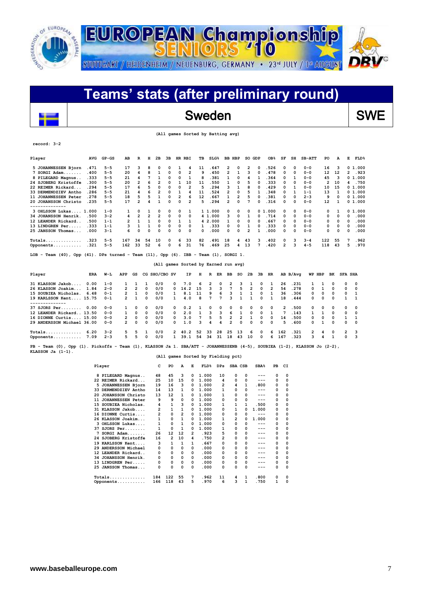

### **Teams' stats (after preliminary round)**  $\overline{\phantom{a}}$ Sweden SWE

|  |  |  |  |  | (All games Sorted by Batting avg) |  |
|--|--|--|--|--|-----------------------------------|--|
|--|--|--|--|--|-----------------------------------|--|

| Player                                                                                                                                           | <b>AVG</b> | $GP - GS$ | AB             | R              | н              | 2в                      | 3B |                | HR RBI         | ΤВ                                   |         | SLG <sup>8</sup> | <b>BB HBP</b>           |                         | SO GDP         |          | OB <sub>8</sub> | SF  | SH       | $SB-ATT$ | PO           |              | А            | Е<br>FLD <sup>8</sup> |
|--------------------------------------------------------------------------------------------------------------------------------------------------|------------|-----------|----------------|----------------|----------------|-------------------------|----|----------------|----------------|--------------------------------------|---------|------------------|-------------------------|-------------------------|----------------|----------|-----------------|-----|----------|----------|--------------|--------------|--------------|-----------------------|
| 5 JOHANNESSEN Bjorn                                                                                                                              | .471       | $5 - 5$   | 17             | з              | 8              | 0                       | 0  | 1              | 4              | 11                                   |         | .647             | 2                       | 0                       | 2              | 0        | .526            | 0   | $\Omega$ | $0 - 0$  | 16           |              | 3            | 0 1.000               |
| 7 SORGI Adam                                                                                                                                     | .400       | $5 - 5$   | 20             | 4              | 8              | 1                       | 0  | 0              | 2              | 9                                    |         | .450             | 2                       | $\mathbf{1}$            | 3              | 0        | .478            | 0   | $\Omega$ | $0 - 0$  | 12           | 12           |              | 2<br>.923             |
| 8 PILEGARD Magnus                                                                                                                                | .333       | $5 - 5$   | 21             | 4              | 7              | 1                       | 0  | 0              | 1              | 8                                    |         | .381             | 1                       | 0                       | 4              | 1        | .364            | 0   | 1        | $0 - 0$  | 45           |              | 3            | 0 1.000               |
| 24 SJOBERG Kristoffe                                                                                                                             | .300       | $5 - 5$   | 20             | 2              | 6              | 2                       | 0  | 1              | 10             | 11                                   |         | .550             | 1                       | 0                       | 5              | 0        | .333            | 0   | $\Omega$ | $0 - 0$  | 2            | 10           |              | .750<br>4             |
| 22 REIMER Rickard                                                                                                                                | .294       | $5 - 5$   | 17             | 6              | 5              | 0                       | 0  | 0              | $\overline{2}$ | 5                                    |         | .294             | 3                       | 1                       | 8              | 0        | .429            | 0   | 1        | $0 - 0$  | 10           | 15           |              | 0 1.000               |
| 33 DERMENDZIEV Antho                                                                                                                             | .286       | $5 - 5$   | 21             | 4              | 6              | $\overline{\mathbf{2}}$ | 0  | $\mathbf{1}$   | 4              | 11                                   |         | .524             | $\overline{2}$          | 0                       | 5              | 1        | .348            | 0   | 1        | $1 - 1$  | 13           |              | 1            | 0 1.000               |
| 11 JOHANNESSEN Peter                                                                                                                             | .278       | $5 - 5$   | 18             | 5              | 5              | 1                       | 0  | $\overline{2}$ | 6              | 12                                   |         | .667             | $\mathbf{1}$            | $\overline{2}$          | 5              | 0        | .381            | 0   | 0        | $2 - 3$  | 9            |              | O            | 0 1.000               |
| 20 JOHANSSON Christo                                                                                                                             | .235       | $5 - 5$   | 17             | $\overline{2}$ | 4              | $\mathbf{1}$            | 0  | 0              | $\overline{2}$ | 5                                    |         | .294             | 2                       | 0                       | 7              | 0        | .316            | 0   | 0        | $0 - 0$  | 12           |              | 1            | 0 1.000               |
| 3 OHLSSON Lukas 1.000                                                                                                                            |            | $1 - 0$   | 1              | 0              | 1              | 0                       | 0  | 0              | 1              |                                      | 1 1.000 |                  | 0                       | 0                       | 0              |          | 01.000          | 0   | 0        | $0 - 0$  | 0            |              | 1            | 0 1.000               |
| 34 JOHANSSON Henrik.                                                                                                                             | .500       | $3 - 2$   | 4              | $\overline{2}$ | $\overline{2}$ | $\overline{2}$          | 0  | 0              | 0              |                                      | 4 1.000 |                  | 3                       | 0                       | 1              | 0        | .714            | 0   | $\Omega$ | $0 - 0$  | 0            |              | 0            | 0<br>.000             |
| 12 LEANDER Rickard                                                                                                                               | .500       | $1 - 1$   | $\overline{2}$ | $\mathbf{1}$   | 1              | 0                       | 0  | 1              | 1              |                                      | 4 2.000 |                  | 1                       | 0                       | 0              | O        | . 667           | 0   | $\Omega$ | $0 - 0$  | 0            |              | 0            | .000<br>$\Omega$      |
| 13 LINDGREN Per                                                                                                                                  | .333       | $1 - 1$   | 3              | $\mathbf{1}$   | 1              | 0                       | 0  | 0              | 0              | 1                                    |         | .333             | 0                       | 0                       | 1              | O        | . 333           | 0   | 0        | $0 - 0$  | 0            |              | 0            | .000<br>0             |
| 25 JANSSON Thomas                                                                                                                                | .000       | $3 - 1$   | 6              | 0              | 0              | $\Omega$                | 0  | 0              | 0              | 0                                    |         | .000             | 0                       | 0                       | 2              | 1        | .000            | 0   | 0        | $0 - 0$  | $\Omega$     |              | 0            | .000<br>0             |
| $Totals$                                                                                                                                         | .323       | $5 - 5$   | 167            | 34             | 54             | 10                      | 0  | 6              | 33             | 82                                   |         | .491             | 18                      | 4                       | 43             | з        | .402            | 0   | 3        | $3 - 4$  | 122          | 55           |              | .962<br>7             |
| Opponents                                                                                                                                        | .321       | $5 - 5$   | 162            | 33             | 52             | 6                       | 0  | 6              | 31             | 76                                   |         | .469             | 25                      | 4                       | 13             |          | .420            | 2   | 3        | $4 - 5$  | 118          | 43           |              | .970<br>5             |
| LOB - Team $(40)$ , Opp $(41)$ . DPs turned - Team $(11)$ , Opp $(6)$ . IBB - Team $(1)$ , SORGI 1.                                              |            |           |                |                |                |                         |    |                |                | (All games Sorted by Earned run avg) |         |                  |                         |                         |                |          |                 |     |          |          |              |              |              |                       |
| Player                                                                                                                                           | <b>ERA</b> | W−L       | APP            | GS             |                | CG SHO/CBO SV           |    |                | ΙP             | н                                    | R       | ER               | ВB                      | so                      | 2в             | 3B       | HR              |     | AB B/Avq |          | WP HBP       | вĸ           |              | <b>SFA SHA</b>        |
| 31 KLASSON Jakob                                                                                                                                 | 0.00       | $1 - 0$   | 1              | 1              | 1              | 0/0                     |    | 0              | 7.0            | 6                                    | 2       | 0                | 2                       | 3                       | 1              | 0        | 1               | 26  | .231     | 1        | 1            | 0            | 0            | 0                     |
| 26 KLASSON Joakim                                                                                                                                | 1.84       | $2 - 0$   | $\overline{2}$ | $\overline{2}$ | $\Omega$       | 0/0                     |    | 0              | 14.2           | 15                                   | 3       | 3                | 7                       | 5                       | $\overline{2}$ | $\Omega$ | $\overline{2}$  | 54  | .278     | 0        | 1            | 0            | O            | 0                     |
| 15 SOUBIEA Nicholas.                                                                                                                             | 6.48       | 0-1       | 2              | 1              | $\Omega$       | 0/0                     |    | 1              | 8.1            | 11                                   | 9       | 6                | з                       | 1                       | 1              | 0        | 1               | 36  | .306     | 0        | 0            | 0            | 0            | 1                     |
| 19 KARLSSON Kent 15.75<br>--------------                                                                                                         |            | 0-1       | $\overline{2}$ | 1              | 0              | 0/0                     |    | $\mathbf{1}$   | 4.0            | 8                                    | 7       | 7                | 3                       | $\mathbf{1}$            | $\mathbf{1}$   | $\Omega$ | $\mathbf{1}$    | 18  | .444     | 0        | 0            | 0            | 1            | 1                     |
| $37$ SJORS Per                                                                                                                                   | 0.00       | $0 - 0$   | 1              | 0              | $\Omega$       | 0/0                     |    | 0              | 0.2            | 1                                    | 0       | 0                | 0                       | 0                       | $\Omega$       | 0        | $\Omega$        | 2   | .500     | 0        | 0            | 0            | ٥            | 0                     |
| 12 LEANDER Rickard 13.50                                                                                                                         |            | $0 - 0$   | 1              | $\Omega$       | 0              | 0/0                     |    | 0              | 2.0            | $\mathbf{1}$                         | 3       | 3                | 6                       | 1                       | $\Omega$       | $\Omega$ | 1               | 7   | .143     | 1        | $\mathbf{1}$ | 0            | 0            | 0                     |
| 16 DIONNE Curtis 15.00                                                                                                                           |            | $0 - 0$   | 2              | $\mathbf 0$    | 0              | 0/0                     |    | 0              | 3.0            | 7                                    | 5       | 5                | $\overline{\mathbf{2}}$ | $\overline{\mathbf{c}}$ | $\mathbf{1}$   | 0        | 0               | 14  | .500     | 0        | 0            | 0            | $\mathbf{1}$ | 1                     |
| 29 ANDERSSON Michael 36.00                                                                                                                       |            | $0 - 0$   | $\overline{2}$ | $\mathbf 0$    | 0              | 0/0                     |    | 0              | 1.0            | 3                                    | 4       | 4                | $\overline{2}$          | 0                       | $\Omega$       | 0        | $\Omega$        | 5   | . 600    | 0        | 1            | 0            | 0            | 0                     |
| $Totals$                                                                                                                                         | 6.20       | $3 - 2$   | 5              | 5              | 1              | 0/0                     |    | $\mathbf{2}$   | 40.2           | 52                                   | 33      | 28               | 25                      | 13                      | 6              | 0        | 6               | 162 | .321     | 2        | 4            | 0            | 2            | 3                     |
| Opponents                                                                                                                                        | 7.09       | $2 - 3$   | 5              | 5              | 0              | 0/0                     |    | $\mathbf{1}$   | 39.1           | 54                                   | 34      | 31               | 18                      | 43                      | 10             | 0        | 6               | 167 | .323     | 3        | 4            | $\mathbf{1}$ | 0            | 3                     |
| PB - Team (0), Opp (1). Pickoffs - Team (1), KLASSON Ja 1. SBA/ATT - JOHANNESSENB (4-5), SOUBIEA (1-2), KLASSON Jo (2-2),<br>KLASSON $Ja(1-1)$ . |            |           |                |                |                |                         |    |                |                |                                      |         |                  |                         |                         |                |          |                 |     |          |          |              |              |              |                       |

#### **(All games Sorted by Fielding pct)**

| Player |                          | c              | PO  | A  | Е | FLD <sup>8</sup> | <b>DPs</b> | SBA CSB |   | SBA <sup>8</sup> | PB | СI       |
|--------|--------------------------|----------------|-----|----|---|------------------|------------|---------|---|------------------|----|----------|
| 8      | PILEGARD Magnus          | 48             | 45  | 3  | 0 | 1.000            | 10         | 0       | 0 |                  | 0  | 0        |
|        | 22 REIMER Rickard        | 25             | 10  | 15 | 0 | 1.000            | 4          | O       | 0 | ---              | 0  | 0        |
| 5      | JOHANNESSEN Bjorn        | 19             | 16  | 3  | 0 | 1.000            | 2          | 4       | 1 | .800             | 0  | $\Omega$ |
|        | 33 DERMENDZIEV Antho     | 14             | 13  | 1  | 0 | 1.000            | 1          | O       | 0 | ---              | 0  | 0        |
| 20     | <b>JOHANSSON Christo</b> | 13             | 12  | 1  | 0 | 1.000            | 1          | 0       | 0 | ---              | 0  | 0        |
| 11     | <b>JOHANNESSEN Peter</b> | 9              | 9   | 0  | 0 | 1.000            | 0          | 0       | 0 | $- - -$          | 0  | 0        |
| 15     | SOUBIEA Nicholas.        | 4              | 1   | 3  | 0 | 1.000            | 1          | 1       | 1 | .500             | 0  | $\Omega$ |
|        | 31 KLASSON Jakob         | 2              | 1   | 1  | 0 | 1.000            | 0          |         | 0 | 1.000            | 0  | 0        |
|        | 16 DIONNE Curtis         | $\overline{2}$ | 0   | 2  | 0 | 1.000            | 0          | 0       | 0 | $---$            | 0  | 0        |
|        | 26 KLASSON Joakim        | 1              | 0   | 1  | 0 | 1.000            | 1          | 2       | O | 1.000            | 0  | 0        |
|        | 3 OHLSSON Lukas          | 1              | 0   | 1  | 0 | 1.000            | 0          | 0       | 0 | $---$            | 0  | 0        |
|        | $37$ SJORS Per           | 1              | 0   | 1  | 0 | 1.000            | 1          | 0       | 0 | $---$            | 0  | 0        |
| 7      | $SORGI$ $Adam$           | 26             | 12  | 12 | 2 | .923             | 5          | 0       | 0 | ---              | 0  | 0        |
|        | 24 SJOBERG Kristoffe     | 16             | 2   | 10 | 4 | .750             | 2          | 0       | 0 | ---              | 0  | 0        |
| 19     | KARLSSON Kent            | 3              | 1   | 1  | 1 | .667             | 0          | 0       | 0 | ---              | 0  | 0        |
|        | 29 ANDERSSON Michael     | 0              | 0   | 0  | 0 | .000             | 0          | 0       | 0 | ---              | 0  | 0        |
|        | 12 LEANDER Rickard       | 0              | 0   | 0  | 0 | .000             | 0          | 0       | 0 | ---              | 0  | 0        |
| 34     | JOHANSSON Henrik.        | 0              | 0   | 0  | 0 | .000             | 0          | 0       | 0 | ---              | 0  | 0        |
| 13     | LINDGREN Per             | 0              | 0   | 0  | 0 | .000             | 0          | 0       | 0 | ---              | 0  | 0        |
|        | 25 JANSSON Thomas        | 0              | 0   | 0  | 0 | .000             | 0          | O       | 0 |                  | 0  | 0        |
|        | $Totals$                 | 184            | 122 | 55 | 7 | . 962            | 11         | 4       | 1 | .800             | 0  | 0        |
|        | Opponents                | 166            | 118 | 43 | 5 | . 970            | 6          | 3       | 1 | .750             | 1  | $\Omega$ |

**record: 3-2**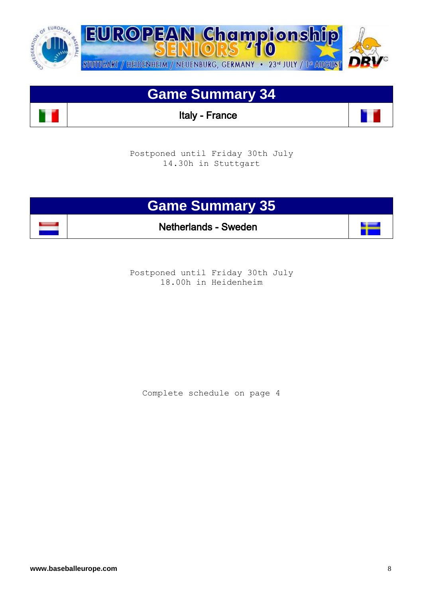

## **Game Summary 34**

Italy - France

Postponed until Friday 30th July 14.30h in Stuttgart



Postponed until Friday 30th July 18.00h in Heidenheim

Complete schedule on page 4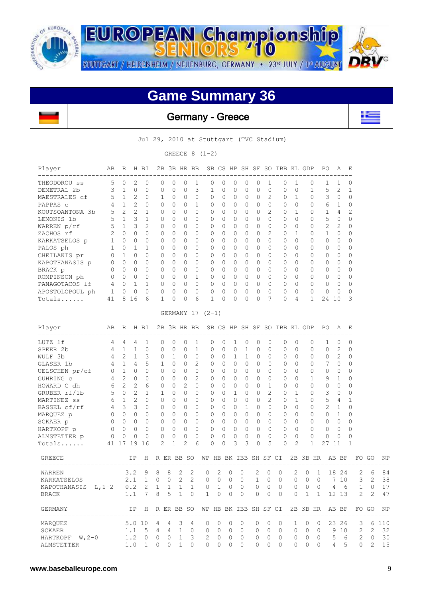

**EUROPEAN Championship** STUTTGART / HEIDENHEIM / NEUENBURG, GERMANY · 23<sup>rd</sup> JULY / 1st AUGUST

## **Game Summary 36**

 $710$ 

Germany - Greece



Jul 29, 2010 at Stuttgart (TVC Stadium)

GREECE  $8(1-2)$ 

| Player                                                               | AВ                                         | R                 |                | H BI            |              |       |              | 2B 3B HR BB    |                |                             |              |                |                |              |                | SB CS HP SH SF SO IBB KL GDP                                  |                |              |                   | PO.         | Α            | E              |   |             |                   |
|----------------------------------------------------------------------|--------------------------------------------|-------------------|----------------|-----------------|--------------|-------|--------------|----------------|----------------|-----------------------------|--------------|----------------|----------------|--------------|----------------|---------------------------------------------------------------|----------------|--------------|-------------------|-------------|--------------|----------------|---|-------------|-------------------|
| THEODOROU SS                                                         | 5                                          | $\circ$           | 2              | $\mathbf{0}$    | 0            |       | 0            | 0              | 1              | 0                           | 0            | 0              | 0              | 0            | 1              | 0                                                             | $\mathbf{1}$   |              | 0                 | 1           | 1            | 0              |   |             |                   |
| DEMETRAL 2b                                                          | 3                                          | $\mathbf{1}$      | $\circ$        | $\mathbf{0}$    | 0            |       | 0            | $\mathbf{0}$   | 3              | $\mathbf{1}$                | 0            | $\mathbf 0$    | 0              | $\mathbf{0}$ | 0              | 0                                                             | $\mathbf{0}$   |              | $\mathbf 1$       | 5           | 2            | $\mathbf{1}$   |   |             |                   |
| MAESTRALES cf                                                        | 5                                          | $\mathbf{1}$      | $\overline{c}$ | 0               | 1            |       | 0            | 0              | 0              | 0                           | 0            | 0              | 0              | 0            | 2              | 0                                                             | 1              |              | 0                 | 3           | 0            | $\mathbf 0$    |   |             |                   |
| PAPPAS c                                                             | 4                                          | 1                 | 2              | $\circ$         | 0            |       | 0            | 0              | $\mathbf{1}$   | 0                           | 0            | 0              | $\mathbf{0}$   | $\mathbf{0}$ | 0              | 0                                                             | $\circ$        |              | 0                 | 6           | 1            | 0              |   |             |                   |
| KOUTSOANTONA 3b                                                      | 5 <sup>5</sup>                             | $2^{\circ}$       | $\overline{c}$ | $\mathbf{1}$    | $\Omega$     |       | $\Omega$     | $\Omega$       | $\circ$        | 0                           | $\Omega$     | $\Omega$       | $\Omega$       | $\Omega$     | 2              | $\mathbf{0}$                                                  | $\mathbf{1}$   |              | $\mathbf{0}$      | $\mathbf 1$ | 4            | $\overline{c}$ |   |             |                   |
| LEMONIS 1b                                                           | 5                                          |                   | 1 3            | 1               | $\Omega$     |       | $\Omega$     | 0              | 0              | 0                           | 0            | $\overline{0}$ | $\Omega$       | $\Omega$     | $\Omega$       | $\circ$                                                       | $\Omega$       |              | 0                 | 5           | $\circ$      | $\mathbf 0$    |   |             |                   |
| WARREN p/rf                                                          | 5                                          | $\mathbf{1}$      | 3              | $\overline{c}$  | 0            |       | $\Omega$     | $\mathbf{0}$   | $\mathbf 0$    | 0                           | $\Omega$     | $\mathbf 0$    | 0              | $\Omega$     | $\Omega$       | $\mathbf{0}$                                                  | $\circ$        |              | $\mathbf{0}$      | 2           | $\mathbf{2}$ | $\mathbf{0}$   |   |             |                   |
| ZACHOS rf                                                            | 2                                          | $\Omega$          | $\Omega$       | $\Omega$        | 0            |       | $\Omega$     | $\Omega$       | $\mathbf 0$    | $\circ$                     | $\Omega$     | $\mathbf 0$    | $\Omega$       | $\mathbf{0}$ | 2              | 0                                                             | $\mathbf{1}$   |              | 0                 | 1           | $\circ$      | 0              |   |             |                   |
| KARKATSELOS p                                                        | $\mathbf{1}$                               | $\Omega$          | $\mathbf{0}$   | $\Omega$        | 0            |       | 0            | $\Omega$       | $\mathbf 0$    | 0                           | $\Omega$     | $\mathbf{0}$   | $\Omega$       | $\Omega$     | $\Omega$       | $\circ$                                                       | $\Omega$       |              | $\mathbf{0}$      | 0           | 0            | $\mathbf{0}$   |   |             |                   |
| PALOS ph                                                             | $\mathbf{1}$                               | $\circ$           | $\mathbf{1}$   | 1               | $\Omega$     |       | $\Omega$     | $\Omega$       | $\Omega$       | $\mathbf{0}$                | $\Omega$     | $\Omega$       | 0              | $\Omega$     | $\Omega$       | 0                                                             | $\Omega$       |              | $\mathbf{0}$      | $\Omega$    | $\Omega$     | $\mathbf{0}$   |   |             |                   |
| CHEILAKIS pr                                                         | $\circ$                                    |                   | $1 \quad 0$    | $\circ$         | 0            |       | 0            | 0              | $\mathbf 0$    | 0                           | 0            | $\overline{0}$ | $\circ$        | $\circ$      | $\Omega$       | $\circ$                                                       | $\circ$        |              | 0                 | 0           | 0            | 0              |   |             |                   |
| KAPOTHANASIS p                                                       | 0                                          | $\overline{0}$    | $\mathbf{0}$   | $\Omega$        | 0            |       | 0            | $\Omega$       | $\mathbf 0$    | 0                           | $\Omega$     | $\overline{0}$ | $\Omega$       | $\Omega$     | $\Omega$       | $\circ$                                                       | $\Omega$       |              | $\mathbf{0}$      | 0           | $\Omega$     | $\mathbf{0}$   |   |             |                   |
| BRACK p                                                              | $\circ$                                    | $\overline{0}$    | $\mathbf{0}$   | $\Omega$        | $\Omega$     |       | $\Omega$     | $\circ$        | $\mathbf 0$    | 0                           | $\mathbf{0}$ | $\mathbf{0}$   | 0              | $\Omega$     | $\Omega$       | 0                                                             | $\Omega$       |              | 0                 | 0           | 0            | 0              |   |             |                   |
| ROMPINSON ph                                                         |                                            | $0\quad 0\quad 0$ |                | 0               | 0            |       | 0            | 0              | 1              | 0                           | 0            | $\overline{0}$ | $\mathbf 0$    | 0            | $\Omega$       | 0                                                             | $\circ$        |              | 0                 | 0           | 0            | 0              |   |             |                   |
| PANAGOTACOS 1f                                                       |                                            | $4 \quad 0$       | $\overline{1}$ | $\mathbf{1}$    | 0            |       | $\Omega$     | $\Omega$       | $\overline{0}$ | $\circ$                     | $\Omega$     | $\overline{0}$ | $\Omega$       | $\Omega$     | $\Omega$       | $\circ$                                                       | $\Omega$       |              | $\mathbf{0}$      | $\Omega$    | $\Omega$     | $\mathbf{0}$   |   |             |                   |
| APOSTOLOPOUL ph                                                      | 1                                          | $\circ$           | $\mathbf{0}$   | $\circ$         | 0            |       | $\circ$      | 0              | $\overline{0}$ | 0                           | 0            | $\overline{0}$ | $\mathbf{0}$   | $\mathbf{0}$ | $\Omega$       | 0                                                             | 0              |              | 0                 | 0           | 0            | 0              |   |             |                   |
| Totals                                                               | 41                                         |                   | 8 16           | 6               | 1            |       | 0            | $\mathbf{0}$   | 6              | $\mathbf{1}$                | $\Omega$     | $\Omega$       | $\Omega$       | $\Omega$     | 7              | $\Omega$                                                      | 4              |              | $\mathbf{1}$      | 24 10       |              | 3              |   |             |                   |
|                                                                      |                                            |                   |                |                 |              |       |              |                |                |                             |              |                |                |              |                |                                                               |                |              |                   |             |              |                |   |             |                   |
|                                                                      |                                            |                   |                |                 |              |       |              |                |                | GERMANY 17 (2-1)            |              |                |                |              |                |                                                               |                |              |                   |             |              |                |   |             |                   |
| Player<br>________________                                           | AВ                                         | R                 |                | H BI            |              |       |              | 2B 3B HR BB    |                |                             |              |                |                |              |                | SB CS HP SH SF SO IBB KL GDP                                  |                |              |                   | PO.         | A            | E              |   |             |                   |
| LUTZ lf                                                              | 4                                          | 4                 | 4              | 1               | 0            |       | 0            | 0              | 1              | 0                           | 0            | 1              | 0              | 0            | 0              | 0                                                             | 0              |              | 0                 | 1           | 0            | 0              |   |             |                   |
| SPEER 2b                                                             | 4                                          | 1                 | 1              | $\mathbf{0}$    | 0            |       | 0            | 0              | 1              | 0                           | 0            | $\mathbf{0}$   | $\mathbf{1}$   | 0            | $\Omega$       | 0                                                             | 0              |              | 0                 | 0           | 2            | 0              |   |             |                   |
| WULF 3b                                                              | 4                                          | 2                 | $\mathbf{1}$   | 3               | 0            |       | $\mathbf{1}$ | 0              | $\overline{0}$ | 0                           | 0            | 1              | 1              | $\Omega$     | $\Omega$       | 0                                                             | $\Omega$       |              | 0                 | 0           | 2            | $\mathbf{0}$   |   |             |                   |
| GLASER 1b                                                            | 4                                          | $\mathbf{1}$      | $\overline{4}$ | 5               | 1            |       | $\Omega$     | 0              | 2              | 0                           | 0            | $\overline{0}$ | $\circ$        | $\Omega$     | $\Omega$       | 0                                                             | $\mathbf{0}$   |              | 0                 | 7           | 0            | 0              |   |             |                   |
| UELSCHEN pr/cf                                                       | 0                                          | $\mathbf{1}$      | 0              | $\Omega$        | 0            |       | $\Omega$     | 0              | $\overline{0}$ | 0                           | 0            | 0              | $\circ$        | 0            | $\Omega$       | 0                                                             | $\circ$        |              | 0                 | 0           | 0            | $\Omega$       |   |             |                   |
| GUHRING C                                                            | 4                                          | 2                 | 0              | 0               | 0            |       | 0            | 0              | 2              | 0                           | 0            | 0              | 0              | 0            | $\Omega$       | 0                                                             | 0              |              | $\mathbf{1}$      | 9           | 1            | 0              |   |             |                   |
| HOWARD C dh                                                          | 6                                          | $2^{\circ}$       | 2              | 6               | 0            |       | $\Omega$     | $\mathbf{2}$   | $\mathbf 0$    | 0                           | $\Omega$     | $\mathbf{0}$   | $\Omega$       | $\Omega$     | 1              | $\circ$                                                       | $\Omega$       |              | $\mathbf{0}$      | 0           | 0            | $\mathbf 0$    |   |             |                   |
| GRUBER rf/1b                                                         | $5^{\circ}$                                | $\circ$           | 2              | $\mathbf{1}$    | 1            |       | $\Omega$     | $\Omega$       | $\Omega$       | 0                           | $\Omega$     | $\mathbf{1}$   | $\Omega$       | $\Omega$     | 2              | $\mathbf{0}$                                                  | $\mathbf{1}$   |              | 0                 | 3           | 0            | $\mathbf{0}$   |   |             |                   |
| $\begin{matrix} 6 & 1 \\ 4 & 3 \\ 0 & 0 \end{matrix}$<br>MARTINEZ ss |                                            | 1                 | 2              | $\Omega$        | 0            |       | 0            | 0              | 0              | 0                           | 0            | $\mathbf{0}$   | $\circ$        | 0            | $\overline{2}$ | 0                                                             | 1              |              | 0                 | 5           | 4            | 1              |   |             |                   |
| BASSEL cf/rf                                                         |                                            |                   | 3              | $\Omega$        | 0            |       | 0            | 0              | $\mathbf 0$    | 0                           | $\Omega$     | $\mathbf 0$    | $\mathbf{1}$   | $\Omega$     | $\Omega$       | $\circ$                                                       | $\Omega$       |              | $\circ$           | 2           | $\mathbf{1}$ | $\mathbf{0}$   |   |             |                   |
| MARQUEZ p                                                            |                                            |                   | $\overline{0}$ | $\Omega$        | 0            |       | 0            | 0              | 0              | 0                           | 0            | 0              | $\Omega$       | $\Omega$     | $\Omega$       | 0                                                             | $\Omega$       |              | 0                 | 0           | 1            | 0              |   |             |                   |
| SCKAER p                                                             | $\begin{array}{ccc} & & 0 & 0 \end{array}$ |                   | $\overline{0}$ | 0               | 0            |       | 0            | 0              | $\overline{0}$ | $\mathbf{0}$                | 0            | $\overline{0}$ | $\mathbf{0}$   | 0            | $\Omega$       | 0                                                             | 0              |              | 0                 | 0           | 0            | 0              |   |             |                   |
| HARTKOPF p                                                           | $\circ$                                    | $\mathbf{0}$      | $\Omega$       | $\Omega$        | 0            |       | $\circ$      | $\Omega$       | $\overline{0}$ | 0                           | $\Omega$     | $\overline{0}$ | $\Omega$       | $\Omega$     | $\Omega$       | 0                                                             | $\Omega$       |              | 0                 | 0           | $\Omega$     | 0              |   |             |                   |
| ALMSTETTER p                                                         | $\overline{0}$                             | $\circ$           | 0              | 0               | $\mathbf{0}$ |       | 0            | 0              | $\mathbf 0$    | 0                           | 0            | 0              | $\mathbf{0}$   | 0            | 0              | 0                                                             | $\circ$        |              | 0                 | 0           | 0            | 0              |   |             |                   |
| Totals                                                               |                                            | 41 17 19 16       |                |                 | 2            |       | $\mathbf{1}$ | $\overline{2}$ | 6              | 0                           | $\Omega$     | 3              | 3              | 0            | 5              | $\mathbf{0}$                                                  | $\overline{2}$ |              | $\mathbf{1}$      | 27 11       |              | 1              |   |             |                   |
| GREECE                                                               |                                            |                   | IP             |                 |              |       |              |                |                |                             |              |                |                |              |                | H R ER BB SO WP HB BK IBB SH SF CI 2B 3B HR AB BF             |                |              |                   |             |              |                |   | FO GO       | ΝF                |
| -------------------------<br>WARREN                                  |                                            |                   | 3.2            | 9               | 8            | 8     | 2            | 2              |                | 0                           | 2            | 0              | 0              | 2            | 0              | 0                                                             | 2              | 0            | 1                 | 18          | -24          |                | 2 | 6           | 84                |
| KARKATSELOS                                                          |                                            |                   | 2.1            | 1               | 0            | 0     | 2            | 2              |                | 0                           | 0            | 0              | 0              | 1            | 0              | 0                                                             | 0              | 0            | 0                 |             | 7 10         |                | 3 | 2           | 38                |
| KAPOTHANASIS $L, 1-2$                                                |                                            |                   |                | $0.2$ 2 1 1 1   |              |       |              | $\mathbf{1}$   |                | $0\quad 1$                  |              | $\circ$        | $\overline{0}$ | 0            | $\circ$        | $\overline{0}$                                                | 0              |              | $0\quad 0$        |             | 4 6          |                |   |             | $1 \t 0 \t 17$    |
| <b>BRACK</b>                                                         |                                            |                   |                | $1.1 \quad 7$   | 8            | $5 -$ | $\mathbf{1}$ | $\mathbf{0}$   |                | 1                           | $\circ$      | $\mathbf{0}$   | $\bigcirc$     | $\circ$      | $\mathbf{0}$   | $\bigcirc$                                                    | $\circ$        | $\mathbf{1}$ | $\mathbf{1}$      |             | 12 13        |                |   | $2 \quad 2$ | 47                |
| GERMANY                                                              |                                            |                   |                |                 |              |       |              |                |                |                             |              |                |                |              |                | IP H R ER BB SO WP HB BK IBB SH SF CI 2B 3B HR AB BF FO GO NE |                |              |                   |             |              |                |   |             |                   |
| ___________________________<br>MAROUEZ                               |                                            |                   |                |                 |              |       |              |                |                | 5.0 10 4 4 3 4 0 0 0 0      |              |                |                |              |                | $0\quad 0\quad 0$                                             | $\overline{1}$ |              |                   |             |              |                |   |             | 0 0 23 26 3 6 110 |
| SCKAER                                                               |                                            |                   |                |                 |              |       |              |                |                | 1.1 5 4 4 1 0 0 0 0 0       |              |                |                |              |                | $0\quad 0\quad 0$                                             |                |              | $0\quad 0\quad 0$ |             |              |                |   |             | 9 10 2 2 32       |
| HARTKOPF W, 2-0                                                      |                                            |                   |                |                 |              |       |              |                |                | 1.2 0 0 0 1 3 2 0 0 0       |              |                |                |              |                | $0\quad 0\quad 0$                                             | $\circ$        |              | $0\quad 0$        |             |              |                |   |             | 5 6 2 0 30        |
| ALMSTETTER                                                           |                                            |                   |                | $1.0$ 1 0 0 1 0 |              |       |              |                |                | $0\qquad 0\qquad 0\qquad 0$ |              |                |                |              |                | $0\quad 0\quad 0$                                             |                |              | $0\quad 0\quad 0$ |             | $4\quad 5$   |                |   |             | $0 \t 2 \t 15$    |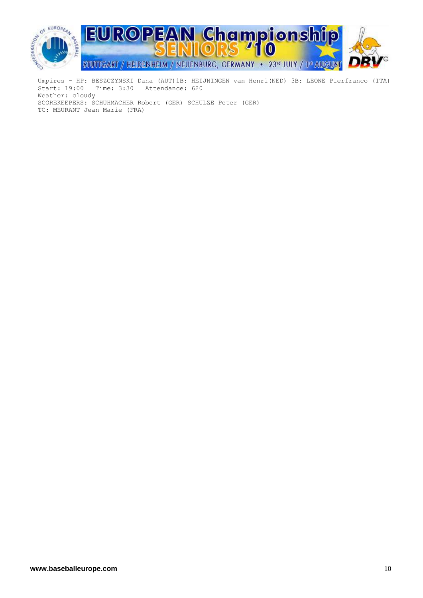

 Start: 19:00 Time: 3:30 Attendance: 620 Weather: cloudy SCOREKEEPERS: SCHUHMACHER Robert (GER) SCHULZE Peter (GER) TC: MEURANT Jean Marie (FRA)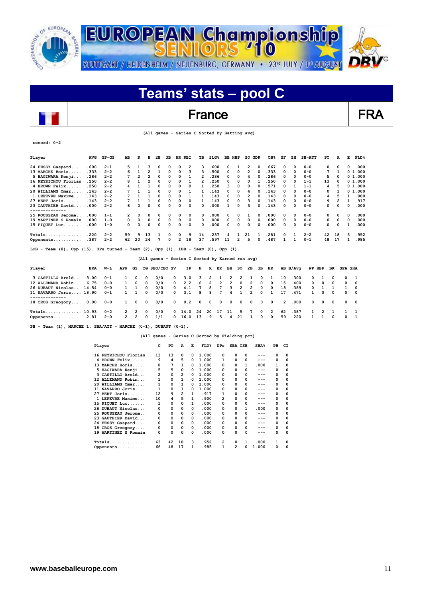

### France FRA

 **(All games - Series C Sorted by Batting avg)**

| $record: 0-2$ |  |
|---------------|--|
|               |  |

 $\overline{\phantom{a}}$ 

| Player                             | <b>AVG</b> | $GP - GS$ | AВ             | R        | н        | 2B           | ЗВ           |                | HR RBI         | TВ | SLG <sup>8</sup> | BB           | HBP      | so             | GDP      | OB <sub>8</sub> | SF           | SH       | <b>SB-ATT</b> | PO           | А  | Е | FLD       |
|------------------------------------|------------|-----------|----------------|----------|----------|--------------|--------------|----------------|----------------|----|------------------|--------------|----------|----------------|----------|-----------------|--------------|----------|---------------|--------------|----|---|-----------|
| 24 FESSY Gaspard                   | .600       | $2 - 1$   | 5.             |          |          |              | 0            | 0              | $\overline{2}$ | 3  | . 600            | 0            |          | $\mathbf{2}$   | 0        | . 667           | 0            | 0        | $0 - 0$       | $\mathbf{o}$ | 0  | 0 | .000      |
| 13 MARCHE Boris                    | . 333      | $2 - 2$   | 6              |          |          |              | 0            | 0              | 3              | 3  | .500             | 0            | 0        | $\overline{2}$ | $\Omega$ | . 333           | 0            | 0        | $0 - 0$       | 7            |    |   | 0 1.000   |
| 5 HAGIWARA Kenji                   | .286       | $2 - 2$   |                | 2        |          |              |              | 0              |                | 2  | 286              | n.           | 0        |                | O        | 286             | 0            | $\Omega$ | $0 - 0$       | 5.           | o  |   | 0 1.000   |
| 16 PEYRICHOU Florian               | .250       | $2 - 2$   | 8              |          |          |              |              | 0              |                | 2  | .250             | <sup>o</sup> | 0        | $\Omega$       |          | 250             | 0            | $\Omega$ | $1 - 1$       | 13           | 0  |   | 0, 1, 000 |
| 4 BROWN Felix                      | .250       | $2 - 2$   | 4              |          |          | O            | 0            | 0              | 0              |    | .250             | 3            | $\Omega$ | 0              | $\Omega$ | .571            | 0            |          | $1 - 1$       | 4            | 5  |   | 0, 1, 000 |
| 20 WILLIAMS Omar.                  | . 143      | $2 - 2$   |                |          |          |              |              | 0              |                |    | .143             | <sup>o</sup> | 0        | 4              | 0        | .143            | $\Omega$     | 0        | $0 - 0$       | $\Omega$     |    |   | 0 1.000   |
| 1 LEFEVRE Maxime                   | .143       | $2 - 2$   |                |          |          | O            | 0            | 0              |                |    | .143             | <sup>o</sup> | 0        | $\overline{2}$ | $\Omega$ | .143            | 0            | 0        | $0 - 0$       | 4            | 5  |   | . 900     |
| $27$ BERT Joris                    | .143       | $2 - 2$   | 7              |          |          |              | 0            | 0              | 0              |    | .143             | 0            | 0        | 3              | $\Omega$ | .143            | 0            | 0        | $0 - 0$       | 9            | 2  |   | .917      |
| 23 GAUTHIER David<br>------------- | .000       | $2 - 2$   | б.             | n        | $\Omega$ | <sup>0</sup> | <sup>o</sup> | 0              | 0              | 0  | .000             |              | $\Omega$ | ٩              | $\Omega$ | .143            | <sup>o</sup> | 0        | $0 - 0$       | 0            | 0  | 0 | .000      |
| 25 ROUSSEAU Jerome.                | .000       | $1 - 1$   | $\overline{2}$ | $\Omega$ |          |              |              | 0              | 0              | 0  | .000             | 0            | 0        |                | 0        | . 000           | 0            | 0        | $0 - 0$       | 0            | 0  | 0 | .000      |
| 19 MARTINEZ S Romain               | .000       | $1 - 0$   | 0              | $\Omega$ | 0        | 0            | 0            | 0              | 0              | 0  | .000             | 0            | 0        | $^{\circ}$     | $\Omega$ | .000            | 0            | $\Omega$ | $0 - 0$       | $\mathbf{o}$ | 0  | 0 | .000      |
| 15 PIQUET Luc                      | .000       | $1 - 0$   | 0              | 0        |          | 0            |              | 0              | 0              | 0  | .000             | 0            | 0        | 0              | $\Omega$ | .000            | 0            | 0        | $0 - 0$       | $\Omega$     | 0  |   | .000      |
| $Totals$                           | .220       | $2 - 2$   | 59             | 9        | 13       |              | 0            | $\Omega$       | 9              | 14 | .237             |              |          | 21             |          | .281            | 0            |          | $2 - 2$       | 42           | 18 | 3 | . 952     |
| Opponents                          | .387       | $2 - 2$   | 62             | 20       | 24       |              |              | $\overline{2}$ | 18             | 37 | .597             | 11           | 2        | 5.             | 0        | .487            |              |          | $0 - 1$       | 48           | 17 |   | . 985     |
|                                    |            |           |                |          |          |              |              |                |                |    |                  |              |          |                |          |                 |              |          |               |              |    |   |           |

**LOB - Team (8), Opp (15). DPs turned - Team (2), Opp (1). IBB - Team (0), Opp (1).** 

 **(All games - Series C Sorted by Earned run avg)**

| Player<br>ERA                                         | W−L                | APP          | GS                         |                         | CG SHO/CBO SV |                    | IP                                   |                              |                              |                       |                                  | H R ER BB SO 2B 3B HR   |                                  |                        |                  |          | AB B/Ava     |                            | WP HBP        | BK            | <b>SFA SHA</b> |                                       |
|-------------------------------------------------------|--------------------|--------------|----------------------------|-------------------------|---------------|--------------------|--------------------------------------|------------------------------|------------------------------|-----------------------|----------------------------------|-------------------------|----------------------------------|------------------------|------------------|----------|--------------|----------------------------|---------------|---------------|----------------|---------------------------------------|
| 3 CASTILLO Arold<br>3.00<br>12 ALLEMAND Robin<br>6.75 | -0-1<br>$0 - 0$    |              | $^{\circ}$<br>$^{\circ}$   | $\mathbf 0$<br>$\Omega$ | 0/0<br>0/0    | $\circ$<br>$\circ$ | 3.0<br>2.2                           | $\overline{\mathbf{3}}$<br>6 | $\overline{2}$               | 2 1<br>$\overline{2}$ | $\overline{2}$<br>$\overline{2}$ | 2 1<br>$\Omega$         | $\overline{2}$                   | $^{\circ}$<br>$\Omega$ | $\Omega$         | 10<br>15 | .300<br>.400 | $^{\circ}$<br>$^{\circ}$   | $\Omega$      | 0<br>$\Omega$ | 0              | $0\quad 1$<br>$^{\circ}$              |
| 26 DUBAUT Nicolas 14.54<br>11 NAVARRO Joris 18.90     | $0 - 0$<br>$0 - 1$ |              | $1 \quad 1$<br>$1 \quad 1$ | $\Omega$<br>$\Omega$    | 0/0<br>0/0    | $\Omega$           | 4.1<br>$0 \quad 3.1$                 | 7<br>8                       | 8<br>$\overline{\mathbf{8}}$ | 7<br>$\overline{7}$   | 3<br>$\overline{4}$              | $\overline{\mathbf{2}}$ | $\overline{2}$<br>$\overline{2}$ | $\Omega$<br>$\Omega$   | $^{\circ}$       | 18<br>17 | .389<br>.471 | $^{\circ}$<br>$\mathbf{1}$ | $^{\circ}$    | $\Omega$      | n.             | $^{\circ}$<br>$\overline{\mathbf{0}}$ |
| 18 CROS Greogory 0.00 0-0                             |                    | $\mathbf{1}$ | $^{\circ}$                 | $\circ$                 | 0/0           |                    | 0 0.2 0 0 0 0 0 0                    |                              |                              |                       |                                  |                         |                                  |                        | $0\quad 0$       |          | 2.000        | $^{\circ}$                 |               | $0\quad 0$    |                | $0\quad 0$                            |
| Totals 10.93<br>Opponents 2.81 2-0                    | $0 - 2$            | $\mathbf{2}$ | 2 2<br>$\overline{2}$      | 0<br>$\Omega$           | 0/0<br>1/1    |                    | $0 \quad 14.0 \quad 24$<br>0 16.0 13 |                              | -20<br>9                     | 17<br>5               | - 11<br>4                        | -5.<br>-21              | $7^{\circ}$<br>$\mathbf{1}$      | 0<br>$^{\circ}$        | 2<br>$\mathbf 0$ | 62<br>59 | .387<br>.220 | $\mathbf{1}$               | $\mathcal{P}$ | 0             | $^{\circ}$     | $\mathbf{1}$<br>$\mathbf{1}$          |

**PB - Team (1), MARCHE 1. SBA/ATT - MARCHE (0-1), DUBAUT (0-1).** 

#### **(All games - Series C Sorted by Fielding pct)**

| Player               | c  | PO | A              | Е | FLD <sup>8</sup> | <b>DPs</b>     | SBA CSB  |   | SBA <sup>8</sup> | PB | СI |  |
|----------------------|----|----|----------------|---|------------------|----------------|----------|---|------------------|----|----|--|
| 16 PEYRICHOU Florian | 13 | 13 | $\mathbf{o}$   | 0 | 1.000            | 0              | 0        | 0 |                  | 0  | o  |  |
| 4 BROWN Felix        | 9  | 4  | 5              | 0 | 1.000            | 1              | 0        | 0 | ---              | 0  | 0  |  |
| 13 MARCHE Boris      | 8  | 7  | 1              | 0 | 1.000            | 0              | 0        | 1 | . 000            | 1  | ი  |  |
| 5 HAGIWARA Kenji     | 5  | 5  | 0              | 0 | 1.000            | 0              | 0        | 0 | ---              | 0  | O  |  |
| 3 CASTILLO Arold     | 2  | 0  | $\overline{2}$ | 0 | 1.000            | 0              | 0        | 0 | $---$            | 0  |    |  |
| 12 ALLEMAND Robin    | 1  | 0  | 1              | 0 | 1.000            | 0              | 0        | 0 | ---              | 0  |    |  |
| 20 WILLIAMS Omar     | 1  | 0  | 1              | 0 | 1.000            | 0              | 0        | 0 | ---              | 0  | O  |  |
| 11 NAVARRO Joris     | 1  | 0  | 1              | 0 | 1.000            | 0              | 0        | 0 | ---              | 0  | O  |  |
| $27$ BERT Joris      | 12 | 9  | 2              | 1 | .917             | 1              | 0        | 0 | ---              | 0  |    |  |
| 1 LEFEVRE Maxime     | 10 | 4  | 5              | 1 | .900             | 2              | 0        | 0 | ---              | 0  |    |  |
| 15 PIQUET Luc        | 1  | 0  | 0              | 1 | .000             | 0              | 0        | 0 | ---              | 0  | O  |  |
| 26 DUBAUT Nicolas    | 0  | 0  | 0              | 0 | .000             | 0              | 0        | 1 | .000             | 0  | 0  |  |
| 25 ROUSSEAU Jerome   | 0  | 0  | 0              | 0 | .000             | 0              | 0        | 0 | $---$            | 0  |    |  |
| 23 GAUTHIER David    | 0  | 0  | 0              | 0 | .000             | 0              | $\Omega$ | 0 | ---              | 0  |    |  |
| 24 FESSY Gaspard     | 0  | 0  | 0              | 0 | .000             | 0              | 0        | 0 | ---              | 0  | 0  |  |
| 18 CROS Greogory     | 0  | 0  | 0              | 0 | .000             | 0              | 0        | 0 | ---              | 0  | n  |  |
| 19 MARTINEZ S Romain | 0  | 0  | 0              | 0 | .000             | 0              | 0        | 0 | ---              | 0  | O  |  |
| $Totals$             | 63 | 42 | 18             | 3 | .952             | $\overline{2}$ | 0        | 1 | .000             |    | o  |  |
| Opponents            | 66 | 48 | 17             | 1 | .985             | 1              | 2        | 0 | 1.000            | 0  | 0  |  |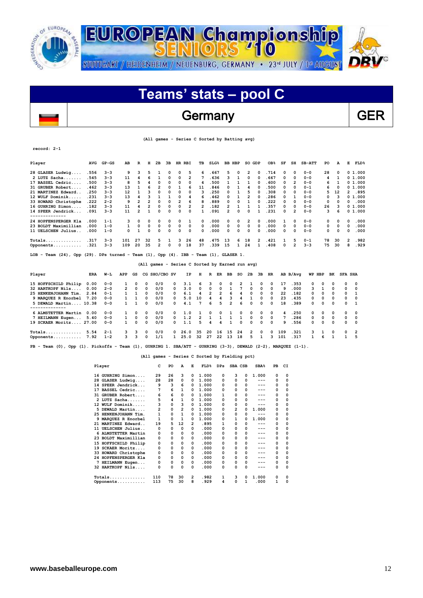

### Germany GER

 **(All games - Series C Sorted by Batting avg)**

**record: 2-1**

 $\overline{\phantom{a}}$ 

| Player                                                                                                 | <b>AVG</b> | $GP - GS$ | AB  | R              | н        | 2B             | 3B            |                | HR RBI | TВ             | SLG <sub>8</sub>                                |    | <b>BB HBP</b> | SO GDP |                | OB <sub>8</sub> | SF       | SH             | $SB-ATT$ | PO | А  | Е              | <b>FLD&amp;</b> |
|--------------------------------------------------------------------------------------------------------|------------|-----------|-----|----------------|----------|----------------|---------------|----------------|--------|----------------|-------------------------------------------------|----|---------------|--------|----------------|-----------------|----------|----------------|----------|----|----|----------------|-----------------|
| 28 GLASER Ludwig                                                                                       | .556       | $3 - 3$   | 9   | з              | 5        |                | 0             | 0              | 5      | 6              | .667                                            | 5  | 0             | 2      | $\Omega$       | .714            | 0        | $\Omega$       | $0 - 0$  | 28 | 0  |                | 01.000          |
| $2$ LUTZ Sacha                                                                                         | .545       | $3 - 3$   | 11  | 4              | 6        |                | 0             | $\mathbf 0$    | 2      |                | .636                                            | з  |               | 0      | $\Omega$       | .667            | 0        | $\Omega$       | $0 - 0$  | 4  | 1  |                | 01.000          |
| 17 BASSEL Cedric                                                                                       | .500       | $3 - 3$   | 8   | 5              |          | 0              | 0             | 0              | 0      | 4              | .500                                            |    |               |        | 0              | . 600           | 0        | 2              | $0 - 0$  | 6  |    |                | 01.000          |
| 31 GRUBER Robert                                                                                       | .462       | $3 - 3$   | 13  |                | 6        | $\overline{2}$ | 0             | 1              | 6      | 11             | .846                                            | 0  |               | 4      | $\Omega$       | .500            | 0        | $\Omega$       | $0 - 1$  | 6  | 0  |                | 01.000          |
| 21 MARTINEZ Edward                                                                                     | .250       | $3 - 3$   | 12  |                |          | $\Omega$       | 0             | 0              | 0      | 3              | .250                                            | 0  |               | 5      | $\Omega$       | .308            | 0        | 0              | $0 - 0$  | 5  | 12 | $\mathbf{2}$   | .895            |
| 12 WULF Dominik                                                                                        | .231       | $3 - 3$   | 13  | 4              |          |                |               | 0              | 4      | 6              | .462                                            | 0  |               | 2      | $\Omega$       | .286            | 0        | 1              | $0 - 0$  | 0  | 3  |                | 01.000          |
| 33 HOWARD Christophe                                                                                   | .222       | $2 - 2$   | 9   | 2              |          | 0              | O             | $\overline{2}$ | 6      | 8              | .889                                            | 0  | 0             |        | $\Omega$       | .222            | 0        | 0              | $0 - 0$  | 0  | 0  | 0              | .000            |
| 16 GUHRING Simon                                                                                       | .182       | $3 - 3$   | 11  | 4              |          | 0              | 0             | 0              | 2      | $\overline{2}$ | .182                                            | 2  |               |        |                | .357            | 0        | 0              | $0 - 0$  | 26 | 3  |                | 01.000          |
| 14 SPEER Jendrick                                                                                      | .091       | $3 - 3$   | 11  | $\overline{2}$ |          | 0              | 0             | $\Omega$       | 0      | 1              | .091                                            | 2  | 0             | 0      |                | .231            | 0        | $\overline{2}$ | $0 - 0$  | 3  | 6  |                | 01.000          |
|                                                                                                        |            |           |     |                |          |                |               |                |        |                |                                                 |    |               |        |                |                 |          |                |          |    |    |                |                 |
| 24 HOPFENSPERGER Kla                                                                                   | .000       | $1 - 1$   |     | 0              | 0        | 0              | 0             | 0              | 1      | 0              | .000                                            | 0  | 0             | 2      | 0              | .000            |          | 0              | $0 - 0$  | 0  | 0  | 0              | .000            |
| 23 BOLDT Maximillian                                                                                   | .000       | $1 - 0$   |     | 0              | 0        | 0              | $\Omega$      | 0              | 0      | $\Omega$       | .000                                            | 0  | 0             | 0      | $\Omega$       | .000            | 0        | 0              | $0 - 0$  | 0  | 0  | $\Omega$       | .000            |
| 11 UELSCHEN Julius.                                                                                    | .000       | $1 - 0$   | 0   |                | $\Omega$ | 0              | 0             | 0              | 0      | 0              | .000                                            | 0  | 0             | 0      | 0              | .000            | 0        | $\Omega$       | $0 - 0$  | 0  | 0  | 0              | .000            |
| $Totals$                                                                                               | .317       | $3 - 3$   | 101 | 27             | 32       | 5              |               | 3              | 26     | 48             | .475                                            | 13 | 6             | 18     | $\overline{2}$ | .421            |          | 5              | $0 - 1$  | 78 | 30 | 2              | .982            |
| Opponents                                                                                              | .321       | $3 - 3$   | 109 | 20             | 35       | 2              | 0             | 0              | 18     | 37             | .339                                            | 15 | 1             | 24     |                | .408            | $\Omega$ | 2              | $3 - 3$  | 75 | 30 | 8              | .929            |
| Team $(24)$ , Opp $(29)$ . DPs turned - Team $(1)$ , Opp $(4)$ . IBB - Team $(1)$ , GLASER 1.<br>LOB - |            |           |     |                |          |                |               |                |        |                | (All games - Series C Sorted by Earned run avg) |    |               |        |                |                 |          |                |          |    |    |                |                 |
|                                                                                                        |            |           |     |                |          |                |               |                |        |                |                                                 |    |               |        |                |                 |          |                |          |    |    |                |                 |
| Player                                                                                                 | ERA        | W-L       | APP | GS             |          |                | CG SHO/CBO SV |                | ΙP     | н              | R<br>ER                                         | ВB | so            | 2B     | 3B             | HR              |          | AB B/Avq       | WP HBP   | вĸ |    | <b>SFA SHA</b> |                 |

| 15 HOFFSCHILD Philip 0.00 |      | $0 - 0$ |               | $\Omega$ | 0            | 0/0 | 0            | 3.1  | -6             | 3.             | 0              | $^{\circ}$     | 2        |                | 0          | $^{\circ}$ | 17  | 353    | $^{\circ}$ | $\Omega$ | $^{\circ}$ |            | $0\quad 0$     |
|---------------------------|------|---------|---------------|----------|--------------|-----|--------------|------|----------------|----------------|----------------|----------------|----------|----------------|------------|------------|-----|--------|------------|----------|------------|------------|----------------|
| 32 HARTKOPF Nils          | 0.00 | $2 - 0$ | $\mathcal{P}$ | $\Omega$ | 0            | 0/0 | $^{\circ}$   | 3.0  | $\Omega$       | $\Omega$       | $^{\circ}$     |                | 7        | $\Omega$       | $\Omega$   | $\Omega$   | 9   | .000   | 3          |          | $^{\circ}$ |            | $0\quad 0$     |
| 25 HENKENJOHANN Tim.      | 2.84 | $0 - 1$ |               |          | 0            | 0/0 | 0            | 6.1  | 4              | $\overline{2}$ | $\overline{2}$ | 6              | 4        | $\Omega$       | $\Omega$   | $^{\circ}$ | 22  | .182   | $^{\circ}$ | $\Omega$ | $\Omega$   |            | $0\quad 1$     |
| 9 MAROUEZ R Enorbel       | 7.20 | $0 - 0$ |               |          | 0            | 0/0 | 0            | 5.0  | 10             | 4              | 4              | 3              | 4        |                | $\Omega$   | 0          | 23  | $-435$ | $^{\circ}$ | $\Omega$ | n.         |            | $0\quad 0$     |
| 5 DEWALD Martin 10.38     |      | $0 - 0$ |               |          | 0            | 0/0 | 0            | 4.1  | 7              | 6              | 5.             | $\overline{2}$ | 6        | $^{\circ}$     | $^{\circ}$ | 0          | 18  | .389   | $^{\circ}$ | $\Omega$ | $\Omega$   |            | $0\quad 1$     |
|                           |      |         |               |          |              |     |              |      |                |                |                |                |          |                |            |            |     |        |            |          |            |            |                |
| 6 ALMSTETTER Martin       | 0.00 | $0 - 0$ |               | 0        | 0            | 0/0 | 0            | 1.0  |                | 0              | $\Omega$       |                | 0        | 0              | $^{\circ}$ | 0          |     | . 250  | $\Omega$   | 0        | $^{\circ}$ |            | $0\quad 0$     |
| 7 HEILMANN Eugen          | 5.40 | $0 - 0$ |               | 0        | 0            | 0/0 | $^{\circ}$   | 1.2  | $\overline{2}$ |                |                |                |          | $\Omega$       | $\Omega$   | $\Omega$   |     | .286   | $^{\circ}$ | $\Omega$ | $\Omega$   |            | $0\quad 0$     |
| 19 SCKAER Moritz 27.00    |      | $0 - 0$ |               | 0        | <sup>0</sup> | 0/0 | <sup>0</sup> | 1.1  | 5.             | 4              | 4              |                | $\Omega$ | $\Omega$       | $\Omega$   | 0          | ۹   | .556   | $^{\circ}$ | $\Omega$ | n.         | $^{\circ}$ | $\overline{0}$ |
| $Totals$                  | 5.54 | $2 - 1$ |               | 3        | 0            | 0/0 | $^{\circ}$   | 26.0 | 35             | 20             | 16             | 15             | 24       | $\overline{2}$ | $\Omega$   | 0          | 109 | .321   | 3          |          | $\Omega$   |            | $0\quad 2$     |
| Opponents                 | 7.92 | $1 - 2$ |               | ٦        | $\Omega$     | 1/1 |              | 25.0 | 32             | 27             | 22             | 13             | 18       | 5.             |            | ٩          | 101 | 317    |            |          |            |            | 1 5            |
|                           |      |         |               |          |              |     |              |      |                |                |                |                |          |                |            |            |     |        |            |          |            |            |                |

**PB - Team (0), Opp (1). Pickoffs - Team (1), GUHRING 1. SBA/ATT - GUHRING (3-3), DEWALD (2-2), MARQUEZ (1-1).** 

#### **(All games - Series C Sorted by Fielding pct)**

| Player               | c   | PO | A              | Е              | FLD <sup>8</sup> | DPs | SBA CSB |   | SBA <sup>8</sup> | PB | CI |
|----------------------|-----|----|----------------|----------------|------------------|-----|---------|---|------------------|----|----|
| 16 GUHRING Simon     | 29  | 26 | 3              | 0              | 1.000            | 0   | з       | 0 | 1.000            | 0  | 0  |
| 28 GLASER Ludwig     | 28  | 28 | 0              | 0              | 1.000            | 0   | 0       | 0 | ---              | 0  | 0  |
| 14 SPEER Jendrick    | 9   | 3  | 6              | 0              | 1.000            | 0   | 0       | 0 | ---              | 0  | 0  |
| 17 BASSEL Cedric     | 7   | 6  | 1              | 0              | 1.000            | 0   | 0       | 0 | ---              | 0  | 0  |
| 31 GRUBER Robert     | 6   | 6  | 0              | 0              | 1.000            | 1   | 0       | 0 | ---              | 0  | 0  |
| 2 LUTZ Sacha         | 5   | 4  | 1              | 0              | 1.000            | 0   | 0       | 0 | $---$            | 0  | 0  |
| 12 WULF Dominik      | 3   | 0  | 3              | 0              | 1.000            | 0   | 0       | 0 | $---$            | 0  | 0  |
| 5 DEWALD Martin      | 2   | 0  | $\overline{2}$ | 0              | 1.000            | 0   | 2       | 0 | 1.000            | 0  | 0  |
| 25 HENKENJOHANN Tim. | 1   | 0  | 1              | 0              | 1.000            | 0   | 0       | 0 | ---              | 0  | 0  |
| 9 MARQUEZ R Enorbel  | 1   | 0  | 1              | <sup>0</sup>   | 1.000            | 0   | 1       | 0 | 1.000            | 0  | 0  |
| 21 MARTINEZ Edward   | 19  | 5  | 12             | $\overline{2}$ | .895             | 1   | 0       | 0 | ---              | 0  | 0  |
| 11 UELSCHEN Julius   | 0   | 0  | 0              | 0              | .000             | 0   | 0       | 0 | ---              | 0  | 0  |
| 6 ALMSTETTER Martin  | 0   | 0  | 0              | 0              | .000             | 0   | 0       | 0 | ---              | 0  | 0  |
| 23 BOLDT Maximillian | 0   | 0  | 0              | 0              | .000             | 0   | 0       | 0 | ---              | 0  | 0  |
| 15 HOFFSCHILD Philip | 0   | 0  | 0              | 0              | .000             | 0   | 0       | 0 | ---              | 0  | 0  |
| 19 SCKAER Moritz     | 0   | 0  | 0              | 0              | .000             | 0   | 0       | 0 | ---              | 0  | 0  |
| 33 HOWARD Christophe | 0   | 0  | 0              | 0              | .000             | 0   | 0       | 0 | ---              | 0  | 0  |
| 24 HOPFENSPERGER Kla | 0   | 0  | 0              | 0              | .000             | 0   | 0       | 0 | ---              | 0  | 0  |
| 7 HEILMANN Eugen     | 0   | 0  | 0              | 0              | .000             | 0   | 0       | 0 | ---              | 0  | 0  |
| 32 HARTKOPF Nils     | 0   | 0  | 0              | 0              | .000             | 0   | 0       | 0 | ---              | 0  | 0  |
| $Totals$             | 110 | 78 | 30             | 2              | .982             | 1   | з       | 0 | 1.000            | 0  | 0  |
| Opponents            | 113 | 75 | 30             | 8              | . 929            | 4   | 0       | 1 | .000             | 1  | 0  |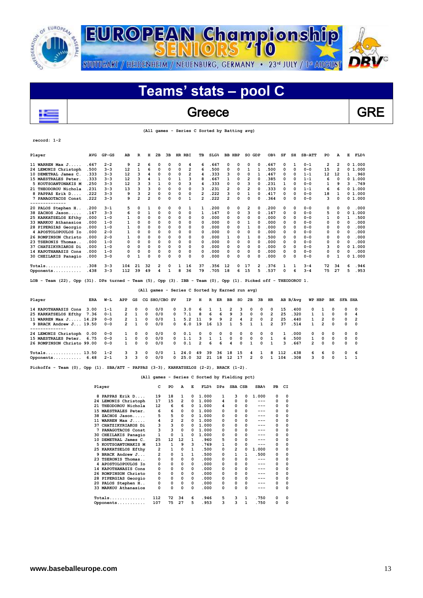



### Greece Reserve GRE

 **(All games - Series C Sorted by Batting avg)**

| Player                                                                                                           | <b>AVG</b> | $GP - GS$ | AB  | R  | н  | 2в           | 3B       | HR RBI      |                | TВ | SLG <sub>8</sub> |                | <b>BB HBP</b> | SO GDP |              | OB <sub>8</sub> | SF | SH       | $SB-ATT$ | PO | A              | E            | FLD <sup>8</sup> |
|------------------------------------------------------------------------------------------------------------------|------------|-----------|-----|----|----|--------------|----------|-------------|----------------|----|------------------|----------------|---------------|--------|--------------|-----------------|----|----------|----------|----|----------------|--------------|------------------|
| 11 WARREN Max J                                                                                                  | .667       | $2 - 2$   | 9   | 2  | 6  | n            | 0        | 0           | 4              | 6  | .667             | 0              | 0             | 0      | 0            | . 667           | 0  | 1        | $0 - 1$  | 2  | 2              |              | 01.000           |
| 24 LEMONIS Christoph                                                                                             | .500       | $3 - 3$   | 12  | 1  | 6  | n            | 0        | 0           | 2              | 6  | .500             | ٥              | $\Omega$      | 1      |              | .500            | 0  | $\Omega$ | $0 - 0$  | 15 | $\overline{2}$ |              | 01.000           |
| 10 DEMETRAL James C                                                                                              | .333       | $3 - 3$   | 12  | 3  |    | $\Omega$     | 0        | 0           | $\overline{2}$ | 4  | .333             | 3              | 0             | 0      | $\mathbf{1}$ | .467            | 0  | $\Omega$ | $1 - 1$  | 12 | 12             | $\mathbf{1}$ | .960             |
| 15 MAESTRALES Peter                                                                                              | .333       | $3 - 3$   | 12  | 3  |    | $\mathbf{1}$ | 0        | 1           | 3              | 8  | .667             | 1              | 0             | 2      | 0            | .385            | 0  | $\Omega$ | $1 - 1$  | 6  | 0              |              | 01.000           |
| 5 KOUTSOANTONAKIS M                                                                                              | .250       | $3 - 3$   | 12  | 3  | 3  | 1            | 0        | $\mathbf 0$ | 3              | 4  | .333             | 0              | 0             | 3      | 0            | .231            | 1  | 0        | $0 - 0$  | 1  | 9              | ٦            | .769             |
| 21 THEODOROU Nichola                                                                                             | .231       | $3 - 3$   | 13  | 3  | 3  | 0            | $\Omega$ | $\Omega$    | 0              | 3  | .231             | $\overline{2}$ | 0             | 2      | 0            | .333            | 0  | $\Omega$ | $1 - 1$  | 6  | 6              |              | 01.000           |
| 8 PAPPAS Erik D                                                                                                  | .222       | $3 - 3$   | 9   | 3  | 2  | $\Omega$     | 0        | $\Omega$    | 0              | 2  | . 222            | 3              | 0             | 1      | 0            | .417            | 0  | $\Omega$ | $0 - 0$  | 18 | 1              |              | 01.000           |
| 7 PANAGOTACOS Const                                                                                              | .222       | $3 - 3$   | 9   | 2  | 2  | 0            | 0        | $\Omega$    | 1              | 2  | .222             | 2              | $\Omega$      | 0      | O            | .364            | 0  | $\Omega$ | $0 - 0$  | 3  | 0              |              | 01.000           |
|                                                                                                                  |            |           |     |    |    |              |          |             |                |    |                  |                |               |        |              |                 |    |          |          |    |                |              |                  |
| 20 PALOS Stephen H                                                                                               | .200       | $3 - 1$   | 5   | 0  | 1  | 0            | 0        | 0           | 1              | 1  | .200             | 0              | 0             | 2      | 0            | .200            | 0  | $\Omega$ | $0 - 0$  | 0  | 0              | 0            | .000             |
| 38 ZACHOS Jason                                                                                                  | .167       | $3 - 3$   | 6   | 0  |    | $\Omega$     | 0        | 0           | 0              | 1  | .167             | 0              | 0             | 3      | O            | .167            | 0  | $\Omega$ | $0 - 0$  | 5  | 0              | 0            | .000<br>1        |
| 25 KARKATSELOS Efthy                                                                                             | .000       | $1 - 0$   |     | 0  | 0  | $\Omega$     | 0        | $\Omega$    | 0              | 0  | .000             | 0              | 0             | 0      | O            | .000            | 0  | $\Omega$ | $0 - 0$  | 1  | 0              | 1            | .500             |
| 33 MARKOU Athanasios                                                                                             | .000       | $1 - 0$   | 1   | O  | 0  | $\Omega$     | 0        | $\Omega$    | 0              | 0  | .000             | 0              | 0             | 1      | 0            | .000            | 0  | $\Omega$ | $0 - 0$  | 0  | O              | $\Omega$     | .000             |
| 28 PIPERGIAS Georgio                                                                                             | .000       | $1 - 0$   |     | O  | 0  | $\Omega$     | 0        | $\mathbf 0$ | 0              | 0  | .000             | 0              | 0             | 1      | $\Omega$     | .000            | 0  | $\Omega$ | $0 - 0$  | 0  | 0              | 0            | .000             |
| 4 APOSTOLOPOULOS IO                                                                                              | .000       | $2 - 0$   |     | O  | 0  | $\Omega$     | 0        | $\Omega$    | 0              | 0  | .000             | 0              | 0             | 0      | 0            | .000            | 0  | $\Omega$ | $0 - 0$  | 0  | 0              | 0            | .000             |
| 26 ROMPINSON Christo                                                                                             | .000       | $2 - 0$   | 1   | O  | 0  | $\Omega$     | 0        | 0           | 0              | 0  | .000             | 1              | $\Omega$      | 1      | $\Omega$     | .500            | 0  | $\Omega$ | $0 - 0$  | 0  | 0              | $\Omega$     | .000             |
| 23 TSERONIS Thomas.                                                                                              | .000       | $1 - 0$   | 0   | 0  | 0  | $\Omega$     | $\Omega$ | $\mathbf 0$ | 0              | 0  | .000             | 0              | 0             | 0      | 0            | .000            | 0  | 0        | $0 - 0$  | 0  | 0              | $\Omega$     | .000             |
| 37 CHATZIKYRIAKOS Di                                                                                             | .000       | $1 - 0$   | O   | 0  | 0  | $\Omega$     | 0        | $\Omega$    | 0              | 0  | .000             | 0              | 0             | 0      | 0            | .000            | 0  | $\Omega$ | $0 - 0$  | з  | 0              | 0            | 1.000            |
| 14 KAPOTHANASIS Cons                                                                                             | .000       | $1 - 0$   | 0   | O  | 0  | $\Omega$     | 0        | $\Omega$    | 0              | 0  | .000             | 0              | 0             | 0      | 0            | .000            | 0  | $\Omega$ | $0 - 0$  | 0  | 0              | 0            | .000             |
| 30 CHEILAKIS Panagio                                                                                             | .000       | $3 - 0$   | 0   | 1  | O  | O            | 0        | O           | 0              | 0  | .000             | 0              | 0             | 0      |              | .000            | 0  | $\Omega$ | $0 - 0$  | 0  |                |              | 01.000           |
|                                                                                                                  | .308       | $3 - 3$   | 104 | 21 | 32 | 2            | 0        | 1           | 16             | 37 | .356             | 12             | 0             | 17     | 2            | .376            | 1  | 1        | $3 - 4$  | 72 | 34             | 6            | .946             |
| Opponents                                                                                                        | .438       | $3 - 3$   | 112 | 39 | 49 | 4            |          | 8           | 36             | 79 | .705             | 18             | 6             | 15     | 5            | .537            | 0  | 6        | $3 - 4$  | 75 | 27             | 5            | .953             |
| Team (22), Opp (31). DPs turned - Team (5), Opp (3). IBB - Team (0), Opp (1). Picked off - THEODOROU 1.<br>LOB - |            |           |     |    |    |              |          |             |                |    |                  |                |               |        |              |                 |    |          |          |    |                |              |                  |

| Player                     | ERA  | W-L     | APP            | GS         |            | CG SHO/CBO SV |            | IP.  | н                          | R        |          | ER BB          | so         | 2B             | 3B         | HR.            |     | AB B/Avq |                | WP HBP         | вк         | <b>SFA SHA</b> |            |
|----------------------------|------|---------|----------------|------------|------------|---------------|------------|------|----------------------------|----------|----------|----------------|------------|----------------|------------|----------------|-----|----------|----------------|----------------|------------|----------------|------------|
| 14 KAPOTHANASIS Cons       | 3.00 | $1 - 1$ | $\mathcal{P}$  | $^{\circ}$ | $^{\circ}$ | 0/0           | 0          | 3.0  | -6                         |          |          | $\overline{2}$ | 3          | 0              | $\Omega$   | $\Omega$       | 15  | .400     | $^{\circ}$     |                | $\Omega$   |                | $0\quad 0$ |
| 25 KARKATSELOS Efthy 7.36  |      | $0 - 1$ | $\mathcal{P}$  |            | $\Omega$   | 0/0           | $^{\circ}$ | 7.1  | 8                          | 6        | 6        | 9              | 3          | $\Omega$       | $^{\circ}$ | $\overline{2}$ | 25  | .320     |                |                | 0          |                | $0\quad 4$ |
| 11 WARREN Max J 14.29      |      | $0 - 0$ | $\mathcal{P}$  |            | $\Omega$   | 0/0           |            | 5.2  | 11                         | 9        | 9        | $\overline{2}$ | 4          | $\overline{2}$ | $\Omega$   | $\overline{2}$ | 25  | .440     | $\mathbf{1}$   | $\overline{2}$ | $\Omega$   |                | $0\quad 2$ |
| 9 BRACK Andrew J 19.50     |      | $0 - 0$ | $\overline{2}$ |            | $\Omega$   | 0/0           | $^{\circ}$ | 6.0  | 19                         |          | 16 13    | $\mathbf{1}$   | 5.         |                |            | $\mathbf{2}$   | 37  | .514     |                | $\overline{2}$ | $^{\circ}$ |                | $0\quad 0$ |
| 24 LEMONIS Christoph 0.00  |      | $0 - 0$ |                | $^{\circ}$ | $^{\circ}$ | 0/0           | 0          | 0.1  | $^{\circ}$                 | $\Omega$ | $\Omega$ | 0              | $^{\circ}$ | 0              | $\Omega$   | $\Omega$       |     | . 000    | $\Omega$       | $^{\circ}$     | $^{\circ}$ |                | $0\quad 0$ |
| 15 MAESTRALES Peter.       | 6.75 | $0 - 0$ |                | $\Omega$   | $\Omega$   | 0/0           | $^{\circ}$ | 1.1  | 3                          |          |          | $\Omega$       | $\Omega$   | $\Omega$       | $\Omega$   | 1              | 6   | .500     | $\mathbf{1}$   | $\Omega$       | $\Omega$   |                | $0\quad 0$ |
| 26 ROMPINSON Christo 99.00 |      | $0 - 0$ | $\mathbf{1}$   | $\Omega$   | $\Omega$   | 0/0           | $^{\circ}$ | 0.1  | $\overline{\phantom{a}}$ 2 | 6        | 6        | 4              | $\Omega$   |                | $\Omega$   |                | 3   | .667     | $\overline{2}$ | $\Omega$       | $\Omega$   |                | $0\quad 0$ |
| Totals 13.50               |      | $1 - 2$ | ٦.             |            | $\Omega$   | 0/0           |            | 24.0 | 49                         | 39       | 36       | 18             | -15        | 4              |            | 8              | 112 | .438     | 6              | -6             | $\Omega$   |                | $0\quad 6$ |
| Opponents 6.48             |      | $2 - 1$ | 3              |            | $\Omega$   | 0/0           | $^{\circ}$ | 25.0 |                            | 32 21    | 18       | $12^{\circ}$   | 17         | $\mathcal{P}$  | $^{\circ}$ |                | 104 | .308     | 3              | $\Omega$       | $\Omega$   |                |            |

**Pickoffs - Team (0), Opp (1). SBA/ATT - PAPPAS (3-3), KARKATSELOS (2-2), BRACK (1-2).** 

#### **(All games - Series C Sorted by Fielding pct)**

|    | Player               | c              | PO       | A              | Е        | FLD <sup>8</sup> | <b>DPs</b> | SBA CSB  |   | SBA <sup>8</sup> | PB       | CI       |
|----|----------------------|----------------|----------|----------------|----------|------------------|------------|----------|---|------------------|----------|----------|
| 8  | PAPPAS Erik D        | 19             | 18       | 1              | 0        | 1.000            | 1          | з        | 0 | 1.000            | 0        | 0        |
|    | 24 LEMONIS Christoph | 17             | 15       | 2              | 0        | 1.000            | 4          | 0        | 0 | ---              | 0        | 0        |
| 21 | THEODOROU Nichola    | 12             | 6        | 6              | 0        | 1.000            | 4          | 0        | 0 | ---              | 0        | 0        |
| 15 | MAESTRALES Peter.    | 6              | 6        | 0              | 0        | 1.000            | 0          | 0        | 0 | ---              | 0        | 0        |
| 38 | ZACHOS Jason         | 5              | 5        | 0              | 0        | 1.000            | 0          | 0        | 0 | ---              | $\Omega$ | 0        |
| 11 | WARREN Max $J$ .     | 4              | 2        | $\overline{2}$ | 0        | 1.000            | 0          | 0        | 0 | ---              | 0        | 0        |
| 37 | CHATZIKYRIAKOS Di    | 3              | 3        | 0              | 0        | 1.000            | 0          | 0        | 0 |                  | $\Omega$ | 0        |
|    | PANAGOTACOS Const    | 3              | 3        | 0              | 0        | 1.000            | 0          | 0        | 0 | ---              | $\Omega$ | 0        |
|    | 30 CHEILAKIS Panagio | 1              | $\Omega$ | 1              | 0        | 1.000            | 0          | 0        | 0 | ---              | 0        | 0        |
|    | 10 DEMETRAL James C. | 25             | 12       | 12             | 1        | .960             | 5          | 0        | 0 | ---              | 0        | 0        |
| 5. | KOUTSOANTONAKIS M    | 13             | 1        | 9              | 3        | .769             | 1          | 0        | 0 | ---              | 0        | 0        |
|    | 25 KARKATSELOS Efthy | 2              | 1        | 0              | 1        | .500             | 0          | 2        | 0 | 1.000            | 0        | 0        |
| 9. | BRACK Andrew J       | $\overline{2}$ | 0        | 1              | 1        | .500             | 0          | 1        | 1 | .500             | 0        | 0        |
| 23 | TSERONIS Thomas      | 0              | 0        | 0              | 0        | .000             | 0          | 0        | 0 | $---$            | 0        | 0        |
|    | 4 APOSTOLOPOULOS IO  | 0              | 0        | 0              | $\Omega$ | .000             | 0          | 0        | 0 | ---              | 0        | 0        |
|    | 14 KAPOTHANASIS Cons | 0              | 0        | 0              | 0        | .000             | 0          | 0        | 0 | ---              | 0        | 0        |
|    | 26 ROMPINSON Christo | 0              | 0        | 0              | $\Omega$ | .000             | 0          | 0        | 0 | ---              | 0        | 0        |
| 28 | PIPERGIAS Georgio    | 0              | 0        | 0              | 0        | .000             | 0          | 0        | 0 | ---              | 0        | 0        |
| 20 | PALOS Stephen H      | 0              | 0        | 0              | 0        | .000             | 0          | $\Omega$ | 0 | ---              | 0        | 0        |
|    | 33 MARKOU Athanasios | 0              | 0        | 0              | $\Omega$ | .000             | 0          | 0        | 0 | ---              | 0        | 0        |
|    | $Totals$             | 112            | 72       | 34             | 6        | .946             | 5          | з        | 1 | .750             | 0        | 0        |
|    | Opponents            | 107            | 75       | 27             | 5        | .953             | 3          | 3        | 1 | .750             | 0        | $\Omega$ |

 $\overline{\phantom{a}}$ 

**record: 1-2**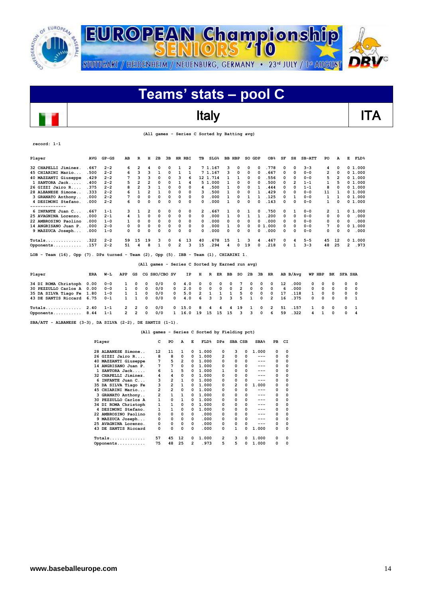



|  |  |  | (All games - Series C Sorted by Batting avg) |
|--|--|--|----------------------------------------------|
|--|--|--|----------------------------------------------|

| Player                                                                                                  | <b>AVG</b> | $GP - GS$ | AВ             | R                       | н              | 2в            | 3B       | HR RBI                                          | тв            |              | SLG <sub>8</sub> | <b>BB HBP</b> |    | SO GDP       |    | OB <sub>8</sub> | SF | SH             | $SB-ATT$ | PO             | A        | Е              | <b>FLD%</b> |
|---------------------------------------------------------------------------------------------------------|------------|-----------|----------------|-------------------------|----------------|---------------|----------|-------------------------------------------------|---------------|--------------|------------------|---------------|----|--------------|----|-----------------|----|----------------|----------|----------------|----------|----------------|-------------|
| 32 CHAPELLI Jiminez.                                                                                    | . 667      | $2 - 2$   | 6              | $\overline{2}$          | 4              | 0             | 0        | 1                                               | 2             | 7 1.167      |                  | з             | 0  | 0            | 0  | .778            | 0  | $\Omega$       | $3 - 3$  | 4              | 0        |                | 01.000      |
| 45 CHIARINI Mario                                                                                       | .500       | $2 - 2$   | 6              | 3                       | 3              | 1             | 0        | $\mathbf{1}$                                    | $\mathbf{1}$  | 7 1.167      |                  | 3             | 0  | 0            | 0  | .667            | 0  | $\Omega$       | $0 - 0$  | $\overline{2}$ | 0        |                | 0, 1, 000   |
| 40 MAZZANTI Giuseppe                                                                                    | .429       | $2 - 2$   | 7              | 3                       | 3              | 0             | 0        | з                                               | 6             | 12 1.714     |                  | 1             | 1  | 0            | 0  | .556            | 0  | $\Omega$       | $0 - 0$  | 5              | 2        |                | 0 1.000     |
| 1 SANTORA Jack                                                                                          | .400       | $2 - 2$   | 5              | $\overline{\mathbf{c}}$ | 2              | 0             | 0        | 1                                               | 4             | 51.000       |                  | $\mathbf{1}$  | 0  | 0            | 0  | .500            | 0  | $\overline{2}$ | $1 - 1$  | 1              | 5        |                | 0, 1, 000   |
| 26 GIZZI Jairo R                                                                                        | .375       | $2 - 2$   | 8              | $\overline{\mathbf{c}}$ | 3              | 1             | 0        | 0                                               | 0<br>4        |              | .500             | 1             | 0  | 0            | 1  | .444            | 0  | $\Omega$       | $1 - 1$  | 8              | 0        |                | 0, 1, 000   |
| 28 ALBANESE Simone                                                                                      | .333       | $2 - 2$   | 6              | $\mathbf{1}$            | $\overline{2}$ | 1             | 0        | 0                                               | 0<br>3        |              | .500             | 1             | 0  | 0            | 1  | .429            | 0  | $\Omega$       | $0 - 0$  | 11             | 1        |                | 01.000      |
| 3 GRANATO Anthony                                                                                       | .000       | $2 - 2$   | 7              | 0                       | 0              | 0             | 0        | 0                                               | 0<br>$\Omega$ |              | .000             | $\mathbf{1}$  | 0  | 1            | 1  | .125            | 0  | $\mathbf{1}$   | $0 - 0$  | 1              | 1        |                | 01.000      |
| 4 DESIMONI Stefano.                                                                                     | .000       | $2 - 2$   | 6              | 0                       | 0              | 0             | 0        | 0                                               | 0<br>0        |              | .000             | 1             | 0  | 0            | 0  | .143            | 0  | $\Omega$       | $0 - 0$  | $\mathbf{1}$   | 0        |                | 0 1.000     |
| --------------<br>6 INFANTE Juan C                                                                      | . 667      | $1 - 1$   | 3              | 1                       | 2              | 0             | 0        | 0                                               | 0             | 2            | 667              | 1             | 0  | 1            | 0  | .750            | 0  | 1              | $0 - 0$  | 2              | 1        |                | 01.000      |
| 25 AVAGNINA Lorenzo.                                                                                    | .000       | $2 - 1$   | 4              | 1                       | 0              | 0             | 0        | 0                                               | 0<br>0        |              | .000             | 1             | 0  | 1            | 1  | .200            | 0  | 0              | $0 - 0$  | 0              | 0        | 0              | .000        |
| 22 AMBROSINO Paolino                                                                                    | .000       | $1 - 0$   | 1              | 0                       | 0              | 0             | 0        | 0                                               | 0<br>0        |              | .000             | 0             | 0  | 0            | 0  | .000            | 0  | $\Omega$       | $0 - 0$  | 0              | 0        | 0              | .000        |
| 14 ANGRISANO Juan P.                                                                                    | .000       | $2 - 0$   | 0              | 0                       | 0              | 0             | 0        | 0                                               | 0<br>0        |              | .000             | 1             | 0  | 0            |    | 01.000          | 0  | $\Omega$       | $0 - 0$  | 7              | $\Omega$ |                | 01.000      |
| 9 MAZZUCA Joseph                                                                                        | .000       | $1 - 0$   | 0              | 0                       | 0              | 0             | 0        | 0                                               | 0<br>0        |              | .000             | 0             | 0  | 0            | 0  | .000            | 0  | $\Omega$       | $0 - 0$  | 0              | 0        | 0              | .000        |
| Totals                                                                                                  | .322       | $2 - 2$   | 59             | 15                      | 19             | 3             | 0        | 13<br>6                                         | 40            |              | . 678            | 15            | 1  | 3            | 4  | .467            | 0  | 4              | $5 - 5$  | 45             | 12       |                | 01.000      |
| Opponents                                                                                               | .157       | $2 - 2$   | 51             | 4                       | 8              | $\mathbf{1}$  | 0        | 2                                               | 3<br>15       |              | .294             | 4             | 0  | 19           | 0  | .218            | 0  | $\mathbf{1}$   | $3 - 3$  | 48             | 25       | $\overline{2}$ | .973        |
| Team $(16)$ , Opp $(7)$ . DPs turned - Team $(2)$ , Opp $(5)$ . IBB - Team $(1)$ , CHIARINI 1.<br>LOB - |            |           |                |                         |                |               |          | (All games - Series C Sorted by Earned run avg) |               |              |                  |               |    |              |    |                 |    |                |          |                |          |                |             |
| Player                                                                                                  | ERA        | W-L       | APP            | GS                      |                | CG SHO/CBO SV |          | IP                                              | н             | R            | ER               | ВB            | so | 2в           | 3B | HR              |    | AB B/Avq       |          | WP HBP         | вĸ       | <b>SFA SHA</b> |             |
| 34 DI ROMA Christoph                                                                                    | 0.00       | $0 - 0$   | 1              | 0                       | 0              | 0/0           | 0        | 4.0                                             | 0             | $\Omega$     | O                | $\Omega$      | 7  | O            | 0  | $\Omega$        | 12 | .000           | 0        | 0              | $\Omega$ | 0              | 0           |
| 30 PEZZULLO Carlos A                                                                                    | 0.00       | $0 - 0$   | 1              | 0                       | 0              | 0/0           | 0        | 2.0                                             | 0             | $\mathbf 0$  | 0                | 0             | 2  | O            | 0  | 0               | 6  | .000           | 0        | 0              | $\Omega$ | 0              | $\Omega$    |
| 35 DA SILVA Tiago Fe                                                                                    | 1.80       | $1 - 0$   | 1              | 1                       | 0              | 0/0           | 0        | 5.0                                             | 2             | $\mathbf{1}$ | $\mathbf{1}$     | 1             | 5  | $\Omega$     | 0  | $\Omega$        | 17 | . 118          | 1        | 0              | 0        | 0              | 0           |
| 43 DE SANTIS Riccard                                                                                    | 6.75       | $0 - 1$   | $\mathbf{1}$   | $\mathbf{1}$            | 0              | 0/0           | $\Omega$ | 4.0                                             | 6             | 3            | 3                | 3             | 5  | $\mathbf{1}$ | 0  | $\overline{2}$  | 16 | .375           | $\Omega$ | 0              | 0        | 0              | 1           |
| Totals                                                                                                  | 2.40       | $1 - 1$   | 2              | 2                       | 0              | 0/0           |          | 15.0<br>0                                       | 8             | 4            | 4                | 4             | 19 | 1            | 0  | 2               | 51 | .157           | 1        | 0              | 0        | 0              | 1           |
| Opponents                                                                                               | 8.44       | $1 - 1$   | $\overline{2}$ | $\overline{2}$          | 0              | 0/0           |          | 16.0<br>$\mathbf{1}$                            | 19            | 15           | 15               | 15            | 3  | 3            | 0  | 6               | 59 | .322           | 4        | $\mathbf{1}$   | $\Omega$ | 0              | 4           |
| SBA/ATT - ALBANESE $(3-3)$ , DA SILVA $(2-2)$ , DE SANTIS $(1-1)$ .                                     |            |           |                |                         |                |               |          |                                                 |               |              |                  |               |    |              |    |                 |    |                |          |                |          |                |             |
|                                                                                                         |            |           |                |                         |                |               |          | (All games - Series C Sorted by Fielding pct)   |               |              |                  |               |    |              |    |                 |    |                |          |                |          |                |             |

| Player |                      | с  | PO             | A  | Е        | FLD <sup>8</sup> | <b>DPs</b> | SBA CSB |   | SBA <sup>8</sup> | PB | CI       |
|--------|----------------------|----|----------------|----|----------|------------------|------------|---------|---|------------------|----|----------|
|        | 28 ALBANESE Simone   | 12 | 11             | 1  | 0        | 1.000            | 0          | з       | 0 | 1.000            | 0  | 0        |
|        | 26 GIZZI Jairo R     | 8  | 8              | 0  | 0        | 1.000            | 2          | 0       | 0 | ---              | 0  | 0        |
|        | 40 MAZZANTI Giuseppe | 7  | 5              | 2  | 0        | 1.000            | 0          | 0       | 0 | ---              | 0  | 0        |
|        | 14 ANGRISANO Juan P. | 7  | 7              | 0  | 0        | 1.000            | 0          | 0       | 0 | ---              | 0  | 0        |
|        | $SANTORA$ $Jack$     | 6  | 1              | 5  | 0        | 1.000            |            | 0       | 0 | ---              | 0  | 0        |
|        | 32 CHAPELLI Jiminez. | 4  | 4              | 0  | 0        | 1.000            | 0          | 0       | 0 | ---              | 0  | 0        |
| 6      | INFANTE Juan C       | з  | $\overline{2}$ | 1  | 0        | 1.000            | 0          | 0       | 0 | ---              | 0  | 0        |
|        | 35 DA SILVA Tiago Fe | 3  | 2              | 1  | 0        | 1.000            | 0          | 2       | 0 | 1.000            | 0  | $\Omega$ |
|        | 45 CHIARINI Mario    | 2  | $\overline{2}$ | 0  | 0        | 1.000            | 0          | 0       | 0 | ---              | 0  | 0        |
|        | 3 GRANATO Anthony    | 2  | $\mathbf{1}$   | 1  | 0        | 1.000            | 0          | 0       | 0 | ---              | 0  | 0        |
|        | 30 PEZZULLO Carlos A | 1  | 0              | 1  | 0        | 1.000            | 0          | 0       | 0 | ---              | 0  | 0        |
|        | 34 DI ROMA Christoph | 1  | 1              | 0  | 0        | 1.000            | 0          | 0       | 0 | ---              | 0  | 0        |
|        | 4 DESIMONI Stefano.  | 1  | 1              | 0  | 0        | 1.000            | 0          | 0       | 0 | ---              | 0  | 0        |
|        | 22 AMBROSINO Paolino | 0  | 0              | 0  | 0        | .000             | 0          | 0       | 0 | ---              | 0  | 0        |
|        | 9 MAZZUCA Joseph     | 0  | 0              | 0  | 0        | .000             | 0          | 0       | 0 | ---              | 0  | 0        |
|        | 25 AVAGNINA Lorenzo. | 0  | 0              | 0  | $\Omega$ | .000             | 0          | 0       | 0 | ---              | 0  | 0        |
|        | 43 DE SANTIS Riccard | 0  | 0              | 0  | 0        | .000             | 0          | 1       | 0 | 1.000            | 0  | 0        |
|        | $Totals$             | 57 | 45             | 12 | 0        | 1.000            | 2          | з       | 0 | 1.000            | 0  | $\Omega$ |
|        | Opponents            | 75 | 48             | 25 | 2        | .973             | 5          | 5       |   | 1.000            | 0  | $\Omega$ |

**record: 1-1**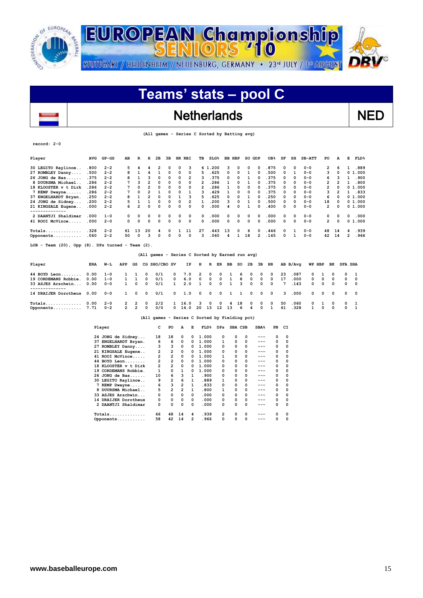

### Netherlands NED

 **(All games - Series C Sorted by Batting avg)**

| Player                                                       | <b>AVG</b> | $GP - GS$ | AB  | R              | н              | 2B            | 3B |             | HR RBI                  | TВ | $SLG\$                                          |              | <b>BB HBP</b> | SO GDP |                | OB <sub>8</sub> | SF       | SH       | $SB-ATT$ | PO | A           | Е              | <b>FLD%</b> |
|--------------------------------------------------------------|------------|-----------|-----|----------------|----------------|---------------|----|-------------|-------------------------|----|-------------------------------------------------|--------------|---------------|--------|----------------|-----------------|----------|----------|----------|----|-------------|----------------|-------------|
| 30 LEGITO Raylinoe                                           | .800       | $2 - 2$   | 5   | 4              |                | 2             | 0  | 0           | з                       |    | .200<br>6 1                                     | 3            | 0             | 0      | 0              | .875            | 0        | $\Omega$ | $0 - 0$  | 2  | 6           |                | .889        |
| 27 ROMBLEY Danny                                             | .500       | $2 - 2$   | 8   |                | 4              |               | 0  | 0           | 0                       | 5  | .625                                            | 0            | 0             |        | $\Omega$       | .500            | 0        | 1        | $0 - 0$  | 3  | 0           |                | 01.000      |
| $26$ JONG de Bas                                             | .375       | $2 - 2$   | 8   | 1              | ٩              | 0             | 0  | $\Omega$    | 2                       | 3  | .375                                            | 0            | $\Omega$      | 1      | $\Omega$       | .375            | 0        | $\Omega$ | $0 - 0$  | 6  | 3           | 1              | .900        |
| 8 DUURSMA Michael                                            | .286       | $2 - 2$   |     | ٩              | 2              | 0             | 0  | 0           | 0                       | 2  | .286                                            |              | 0             |        | $\Omega$       | .375            | 0        | $\Omega$ | $0 - 0$  | 2  | 2           |                | .800        |
| 18 KLOOSTER v t Dirk                                         | .286       | $2 - 2$   |     | $\Omega$       | 2              | $\Omega$      | 0  | 0           | 0                       | 2  | .286                                            |              | 0             | 0      | $\Omega$       | .375            | 0        | 0        | $0 - 0$  | 2  | 0           |                | 01.000      |
| 7 KEMP Dwayne                                                | .286       | $2 - 2$   |     | $\mathbf 0$    | $\overline{2}$ |               | 0  | 0           | 1                       | 3  | .429                                            |              | 0             | 0      | $\Omega$       | .375            | 0        | $\Omega$ | $0 - 0$  | 3  | 2           |                | .833        |
| 37 ENGELHARDT Bryan.                                         | .250       | $2 - 2$   | 8   |                | $\overline{2}$ | 0             | 0  | 1           | 3                       | 5  | .625                                            | 0            | 0             |        | 0              | .250            | 0        | 0        | $0 - 0$  | 6  | 0           |                | 01.000      |
| 24 JONG de Sidney                                            | .200       | $2 - 2$   |     |                |                | $\mathbf 0$   | 0  | 0           | $\overline{\mathbf{c}}$ | 1  | .200                                            | 3            | 0             | 1      | $\Omega$       | .500            | 0        | $\Omega$ | $0 - 0$  | 18 | $\mathbf 0$ |                | 0 1.000     |
| 21 KINGSALE Eugene                                           | .000       | $2 - 2$   | 6   | $\overline{2}$ | 0              | 0             | 0  | 0           | 0                       | 0  | .000                                            | 4            | 0             |        | $\Omega$       | .400            | 0        | 0        | $0 - 0$  | 2  | $\Omega$    |                | 0 1.000     |
| 2 DAANTJI Shaldimar                                          | .000       | $1 - 0$   | 0   | 0              | 0              | 0             | 0  | 0           | 0                       | 0  | .000                                            | $\mathbf{o}$ | 0             | 0      | 0              | .000            | 0        | 0        | $0 - 0$  | 0  | 0           | 0              | .000        |
| 41 ROOI McVince                                              | .000       | $2 - 0$   | 0   | $\mathbf 0$    | $\mathbf 0$    | $\mathbf 0$   | 0  | $\mathbf 0$ | 0                       | 0  | .000                                            | 0            | 0             | 0      | 0              | .000            | 0        | $\Omega$ | $0 - 0$  | 2  | 0           |                | 01.000      |
|                                                              | .328       | $2 - 2$   | 61  | 13             | 20             | 4             | 0  | 1           | 11                      | 27 | .443                                            | 13           | 0             | 6      | 0              | .446            | 0        | 1        | $0 - 0$  | 48 | 14          | 4              | .939        |
| Opponents                                                    | .060       | $2 - 2$   | 50  | 0              | з              | $\Omega$      | 0  | 0           | 0                       | 3  | .060                                            | 4            |               | 18     | $\overline{2}$ | .145            | $\Omega$ |          | $0 - 0$  | 42 | 14          | 2              | .966        |
| Team $(20)$ , Opp $(8)$ . DPs turned - Team $(2)$ .<br>LOB - |            |           |     |                |                |               |    |             |                         |    |                                                 |              |               |        |                |                 |          |          |          |    |             |                |             |
|                                                              |            |           |     |                |                |               |    |             |                         |    | (All games - Series C Sorted by Earned run avg) |              |               |        |                |                 |          |          |          |    |             |                |             |
| Player                                                       | ERA        | W-L       | APP | GS             |                | CG SHO/CBO SV |    |             | IP                      | н  | R<br>ER                                         | ВB           | so            | 2в     | ЗВ             | HR              |          | AB B/Avq | WP HBP   |    | вĸ          | <b>SFA SHA</b> |             |
| 44 BOYD Leon                                                 | 0.00       | $1 - 0$   |     |                | 0              | 0/1           |    | 0           | 7.0                     | 2  | 0                                               | 0            |               | 6<br>0 | 0              | 0               | 23       | .087     | 0        |    | 0           | 0              | 1           |
| 19 CORDEMANS Robbie.                                         | 0.00       | $1 - 0$   |     | 1              | 0              | 0/1           |    | 0           | 6.0                     | 0  | 0                                               | $\mathbf 0$  | 8<br>1        | 0      | 0              | $\Omega$        | 17       | .000     | 0        | 0  | 0           | 0              | 0           |
| 33 ASJES Arschwin                                            | 0.00       | $0 - 0$   | 1   | O              | $\Omega$       | 0/1           |    | 1           | 2.0                     | 1  | 0                                               | 0<br>1       | 3             | 0      | 0              | 0               | 7        | .143     | 0        | 0  | $\Omega$    | 0              | 0           |

**Totals.............. 0.00 2-0 2 2 0 2/2 1 16.0 3 0 0 4 18 0 0 0 50 .060 0 1 0 0 1 Opponents........... 7.71 0-2 2 2 0 0/0 0 14.0 20 13 12 13 6 4 0 1 61 .328 1 0 0 0 1 (All games - Series C Sorted by Fielding pct)**

**-------------- 14 DRAIJER Dorotheus 0.00 0-0 1 0 0 0/1 0 1.0 0 0 0 1 1 0 0 0 3 .000 0 0 0 0 0**

| Player                  | с  | PO             | A              | E | FLD <sup>8</sup> | DPs | SBA CSB |   | SBA <sup>8</sup> | PB | СI |
|-------------------------|----|----------------|----------------|---|------------------|-----|---------|---|------------------|----|----|
| 24 JONG de Sidney       | 18 | 18             | 0              | 0 | 1.000            | 0   | 0       | 0 |                  | 0  |    |
| 37 ENGELHARDT Bryan.    | 6  | 6              | 0              | 0 | 1.000            | 1   | 0       | 0 | ---              | 0  | 0  |
| 27 ROMBLEY Danny        | 3  | 3              | 0              | 0 | 1.000            | 0   | 0       | 0 | ---              | 0  | n  |
| 21 KINGSALE Eugene      | 2  | $\overline{2}$ | 0              | 0 | 1.000            | 0   | 0       | 0 | ---              | 0  | 0  |
| 41 ROOI McVince         | 2  | $\overline{2}$ | 0              | 0 | 1.000            | 1   | 0       | 0 | ---              | 0  | 0  |
| 44 BOYD Leon            | 2  | $\overline{2}$ | $\Omega$       | 0 | 1.000            | 0   | 0       | 0 | ---              | 0  | n  |
| KLOOSTER v t Dirk<br>18 | 2  | $\overline{2}$ | 0              | 0 | 1.000            | 0   | 0       | 0 | ---              | 0  | n  |
| 19 CORDEMANS Robbie.    | 1  | 0              | 1              | 0 | 1.000            | 0   | 0       | 0 | ---              | 0  | 0  |
| $26$ JONG de Bas        | 10 | 6              | 3              | 1 | .900             | 0   | 0       | 0 | ---              | 0  | 0  |
| 30 LEGITO Raylinoe      | 9  | $\overline{2}$ | 6              | 1 | .889             | 1   | 0       | 0 | ---              | 0  | 0  |
| 7 KEMP Dwayne           | 6  | 3              | $\overline{2}$ | 1 | .833             | 0   | 0       | 0 | ---              | 0  |    |
| 8 DUURSMA Michael       | 5  | $\overline{2}$ | $\overline{2}$ | 1 | .800             | 1   | 0       | 0 | $---$            | 0  |    |
| 33 ASJES Arschwin       | 0  | 0              | 0              | 0 | .000             | 0   | 0       | 0 | ---              | 0  | O  |
| 14 DRAIJER Dorotheus    | 0  | 0              | 0              | 0 | .000             | 0   | 0       | 0 | ---              | 0  | 0  |
| 2 DAANTJI Shaldimar     | 0  | 0              | 0              | 0 | .000             | 0   | 0       | 0 | ---              | 0  | 0  |
|                         | 66 | 48             | 14             | 4 | .939             | 2   | 0       | 0 |                  | 0  |    |
| Opponents               | 58 | 42             | 14             | 2 | .966             | 0   | 0       | 0 |                  | 0  |    |

 $\overline{\phantom{a}}$ 

**record: 2-0**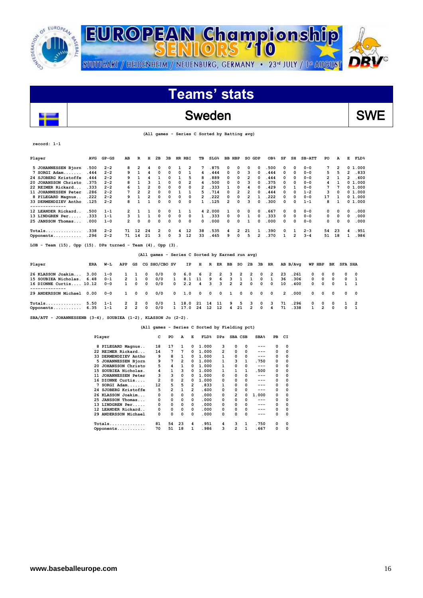

# **Teams' stats**

### Sweden SWE

 **(All games - Series C Sorted by Batting avg)**

| record: |  |
|---------|--|
|---------|--|

 $\overline{\phantom{a}}$ 

| Player                                                                 | <b>AVG</b> | $GP - GS$ | AB             | R              | H              | 2B            | 3B | HR RBI                                          | TB |         | SLG <sub>8</sub> | <b>BB HBP</b>  |                | SO GDP                  |                | OB <sub>8</sub> | SF           | SH             | $SB-ATT$     | PO             |          | E                   | FLD <sup>8</sup> |
|------------------------------------------------------------------------|------------|-----------|----------------|----------------|----------------|---------------|----|-------------------------------------------------|----|---------|------------------|----------------|----------------|-------------------------|----------------|-----------------|--------------|----------------|--------------|----------------|----------|---------------------|------------------|
| 5 JOHANNESSEN Bjorn                                                    | .500       | $2 - 2$   | 8              | 2              | 4              | $\Omega$      | 0  | 2<br>1                                          |    |         | .875             | 0              | 0              | 0                       | 0              | .500            | 0            | 0              | $0 - 0$      | 7              |          | 2                   | 01.000           |
| 7 SORGI Adam                                                           | .444       | $2 - 2$   | 9              | 1              | 4              | 0             | 0  | 0<br>1                                          | 4  |         | .444             | 0              | 0              | з                       | 0              | .444            | 0            | $\Omega$       | $0 - 0$      | 5              |          | $\overline{2}$<br>5 | .833             |
| 24 SJOBERG Kristoffe                                                   | .444       | $2 - 2$   | q              | 1              | 4              | 1             | 0  | 1<br>5                                          | 8  |         | .889             | 0              | 0              | 2                       | 0              | .444            | 0            | $\Omega$       | $0 - 0$      | 2              |          | 2<br>1              | .600             |
| 20 JOHANSSON Christo                                                   | .375       | $2 - 2$   | я              | 1              | 3              | 1             | 0  | $\Omega$<br>$\overline{2}$                      | 4  |         | .500             | 0              | $\Omega$       | 3                       | $\Omega$       | .375            | 0            | $\Omega$       | $0 - 0$      | 4              |          |                     | 01.000           |
| 22 REIMER Rickard                                                      | .333       | $2 - 2$   |                | $\mathbf{1}$   | $\overline{2}$ | 0             | 0  | $\Omega$<br>0                                   | 2  |         | .333             | 1              | 0              | 4                       | O              | .429            | 0            | 1              | $0 - 0$      | 7              |          |                     | 01.000           |
| 11 JOHANNESSEN Peter                                                   | .286       | $2 - 2$   |                | $\overline{2}$ | $\overline{2}$ | $\mathbf 0$   | 0  | 1<br>1                                          | 5  |         | .714             | 0              | $\overline{2}$ | $\overline{\mathbf{2}}$ | 0              | .444            | 0            | 0              | $1 - 2$      | 3              |          |                     | 01.000           |
| 8 PILEGARD Magnus.                                                     | .222       | $2 - 2$   | 9              | $\mathbf{1}$   | $\overline{2}$ | $\Omega$      | 0  | $\Omega$<br>0                                   | 2  |         | .222             | 0              | 0              | $\overline{2}$          | $\mathbf{1}$   | .222            | 0            | 0              | $0 - 0$      | 17             |          | 1                   | 01.000           |
| 33 DERMENDZIEV Antho                                                   | .125       | $2 - 2$   | 8              | $\mathbf{1}$   | $\mathbf{1}$   | $\Omega$      | 0  | $\Omega$<br>0                                   | 1. |         | .125             | $\overline{2}$ | 0              | 3                       | O              | .300            | 0            | $\Omega$       | $1 - 1$      | 8              |          |                     | 01.000           |
| --------------                                                         |            |           |                |                |                |               |    |                                                 |    |         |                  |                |                |                         |                |                 |              |                |              |                |          |                     |                  |
| 12 LEANDER Rickard                                                     | .500       | $1 - 1$   | 2              | 1              | 1              | $\Omega$      | 0  | 1<br>1                                          |    | 4 2.000 |                  | 1              | 0              | 0                       | 0              | . 667           | 0            | 0              | $0 - 0$      | 0              |          | 0<br>n              | .000             |
| 13 LINDGREN Per                                                        | .333       | $1 - 1$   |                | $\mathbf{1}$   | $\mathbf{1}$   | 0             | 0  | 0<br>0                                          | 1  |         | .333             | 0              | 0              | 1                       | 0              | .333            | 0            | 0              | $0 - 0$      | 0              |          | 0<br>0              | .000             |
| 25 JANSSON Thomas                                                      | .000       | $1 - 0$   | $\overline{2}$ | 0              | 0              | $\mathbf 0$   | 0  | $\Omega$<br>0                                   | 0  |         | .000             | 0              | 0              | 1                       | 0              | .000            | 0            | $\Omega$       | $0 - 0$      | 0              |          | $\mathbf 0$<br>0    | .000             |
| $Totals$                                                               | .338       | $2 - 2$   | 71             | 12             | 24             | 2             | 0  | 12<br>4                                         | 38 |         | .535             | 4              | 2              | 21                      | 1              | .390            | 0            | 1              | $2 - 3$      | 54             | 23       | 4                   | .951             |
| Opponents                                                              | .296       | $2 - 2$   | 71             | 14             | 21             | 3             | 0  | 12<br>3                                         | 33 |         | .465             | 9              | 0              | 5                       | $\overline{2}$ | .370            | $\mathbf{1}$ | $\overline{2}$ | $3 - 4$      | 51             | 18       | 1                   | .986             |
| LOB - Team $(15)$ , Opp $(15)$ . DPs turned - Team $(4)$ , Opp $(3)$ . |            |           |                |                |                |               |    |                                                 |    |         |                  |                |                |                         |                |                 |              |                |              |                |          |                     |                  |
|                                                                        |            |           |                |                |                |               |    | (All games - Series C Sorted by Earned run avg) |    |         |                  |                |                |                         |                |                 |              |                |              |                |          |                     |                  |
| Player                                                                 | <b>ERA</b> | W−L       | APP            | GS             |                | CG SHO/CBO SV |    | IP                                              | н  | R       | ER               | ВB             | SO             | 2B                      | 3B             | HR              |              | AB B/Avq       | WP           | HBP            | ВK       | <b>SFA SHA</b>      |                  |
| 26 KLASSON Joakim                                                      | 3.00       | $1 - 0$   |                | 1              | 0              | 0/0           | 0  | 6.0                                             | 6  | 2       | 2                | з              | 2              | 2                       | 0              | 2               | 23           | .261           | 0            | 0              | 0        | 0                   | 0                |
| 15 SOUBIEA Nicholas.                                                   | 6.48       | $0 - 1$   | 2              | 1              | $\Omega$       | 0/0           | 1  | 8.1                                             | 11 | 9       | 6                | з              | 1              | 1                       | 0              | 1               | 36           | .306           | 0            | 0              | 0        | 0                   | 1                |
| 16 DIONNE Curtis 10.12                                                 |            | $0 - 0$   | 1.             | 0              | $\Omega$       | 0/0           | 0  | 2.2                                             | 4  | 3       | 3                | $\overline{2}$ | $\overline{2}$ | $\Omega$                | 0              | 0               | 10           | .400           | 0            | 0              | $\Omega$ | $\mathbf{1}$        | 1                |
| ------------<br>29 ANDERSSON Michael                                   | 0.00       | $0 - 0$   | 1              | O              | 0              | 0/0           | 0  | 1.0                                             | 0  | 0       | 0                | 1              | 0              | $\Omega$                | 0              | 0               | 2            | .000           | 0            | 0              | 0        | 0                   | 0                |
| $Totals$                                                               | 5.50       | $1 - 1$   | 2              | 2              |                | 0/0           |    | 18<br>. 0                                       | 21 | 14      | 11               | 9              | 5              | з                       | 0              | 3               | 71           | .296           | 0            | 0              | 0        | 1                   | 2                |
| Opponents                                                              | 6.35       | $1 - 1$   | 2              | $\overline{2}$ | 0              | 0/0           |    | $\mathbf{1}$<br>17.0                            | 24 | 12      | 12               | 4              | 21             | $\overline{a}$          | O              | 4               | 71           | .338           | $\mathbf{1}$ | $\overline{a}$ | $\Omega$ | 0                   | $\mathbf{1}$     |

**SBA/ATT - JOHANNESSENB (3-4), SOUBIEA (1-2), KLASSON Jo (2-2).** 

 **(All games - Series C Sorted by Fielding pct)**

| Player                      | c  | PO             | A              | Е            | $FLD$ <sup>8</sup> | DPs | SBA CSB        |              | SBA <sup>8</sup> | PB | СI |
|-----------------------------|----|----------------|----------------|--------------|--------------------|-----|----------------|--------------|------------------|----|----|
| 8 PILEGARD Magnus           | 18 | 17             | 1              | 0            | 1.000              | з   | 0              | 0            |                  | 0  | 0  |
| 22 REIMER Rickard           | 14 | 7              | 7              | 0            | 1.000              | 2   | 0              | 0            | ---              | 0  | 0  |
| DERMENDZIEV Antho<br>33.    | 9  | 8              | 1              | 0            | 1.000              | 1   | 0              | 0            | ---              | 0  | 0  |
| JOHANNESSEN Bjorn<br>5.     | 9  | 7              | 2              | 0            | 1.000              | 1   | 3              | $\mathbf{1}$ | .750             | 0  | 0  |
| JOHANSSON Christo<br>20     | 5  | 4              | 1              | 0            | 1.000              | 1   | 0              | 0            | ---              | 0  | 0  |
| 15 SOUBIEA Nicholas.        | 4  | 1              | 3              | 0            | 1.000              | 1   | 1              | 1            | .500             | 0  | 0  |
| JOHANNESSEN Peter<br>11     | 3  | 3              | 0              | <sup>0</sup> | 1.000              | 0   | $\Omega$       | 0            | $---$            | 0  | 0  |
| 16 DIONNE Curtis            | 2  | 0              | $\overline{2}$ | 0            | 1.000              | 0   | 0              | 0            | ---              | 0  | 0  |
| $SORGI$ $Adam$              | 12 | 5              | 5              | 2            | .833               | 1   | 0              | 0            | $---$            | 0  | 0  |
| 24 SJOBERG Kristoffe        | 5  | $\overline{2}$ |                | 2            | .600               | 0   | 0              | 0            | $---$            | 0  | 0  |
| 26 KLASSON Joakim           | 0  | 0              | 0              | $\Omega$     | .000               | 0   | $\overline{2}$ | 0            | 1.000            | 0  | 0  |
| <b>JANSSON Thomas</b><br>25 | 0  | 0              | 0              | $\Omega$     | .000               | 0   | 0              | 0            | ---              | 0  | 0  |
| LINDGREN Per<br>13          | 0  | 0              | 0              | 0            | .000               | 0   | 0              | 0            | $---$            | 0  | 0  |
| 12 LEANDER Rickard          | 0  | 0              | 0              | 0            | .000               | 0   | 0              | 0            | ---              | 0  | 0  |
| 29 ANDERSSON Michael        | 0  | 0              | 0              | 0            | .000               | 0   | 0              | 0            | ---              | 0  | 0  |
|                             | 81 | 54             | 23             | 4            | .951               | 4   | з              |              | .750             | 0  | O  |
| Opponents                   | 70 | 51             | 18             | 1            | .986               | 3   | $\overline{2}$ |              | .667             | 0  | 0  |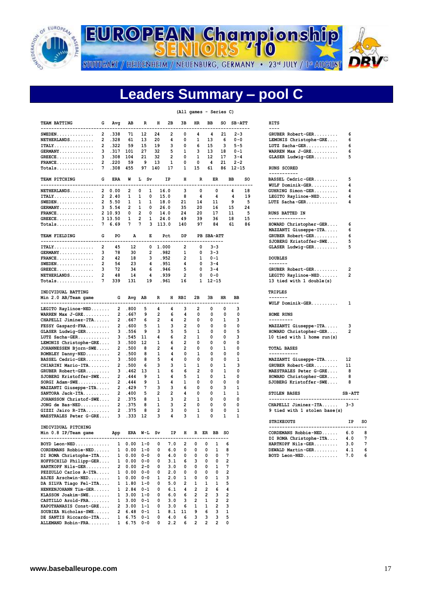

**EUROPEAN Championship** 

STUTTGART / HEIDENHEIM / NEUENBURG, GERMANY · 23<sup>rd</sup> JULY / 1ª AUGUST



## **Leaders Summary – pool C**

#### **(All games - Series C)**

| TEAM BATTING<br>---------------------------     | G              | Avg            | АB             | R                      | н              | 2в                  | 3в             | HR                  | ВB<br>.                 |                | so                      | <b>SB-ATT</b> | ------ | <b>HITS</b><br>----                                    |                |           |
|-------------------------------------------------|----------------|----------------|----------------|------------------------|----------------|---------------------|----------------|---------------------|-------------------------|----------------|-------------------------|---------------|--------|--------------------------------------------------------|----------------|-----------|
| $SWEDEN$                                        | $\overline{2}$ | .338           | 71             | 12                     | 24             | 2                   | 0              | 4                   | 4                       |                | 21                      | $2 - 3$       |        | GRUBER Robert-GER                                      | 6              |           |
| $NETHERLANDS$                                   | $\overline{2}$ | .328           | 61             | 13                     | 20             | 4                   | 0              | 1                   | 13                      |                | 6                       | $0 - 0$       |        | LEMONIS Christophe-GRE                                 | 6              |           |
| ITALY.                                          |                | 2.322          | 59             | 15                     | 19             | з                   | O              | 6                   | 15                      |                | 3                       | $5 - 5$       |        | LUTZ Sacha-GER                                         | 6              |           |
| $GERMANY$                                       | 3              | .317           | 101            | 27                     | 32             | 5                   | 1              | з                   | 13                      |                | 18                      | 0-1           |        | WARREN Max $J-GRE$                                     | 6              |           |
| $GREECE$                                        |                | 3.308          | 104            | 21                     | 32             | 2                   | 0              | 1                   | 12                      |                | 17                      | $3 - 4$       |        | $GLASER$ Ludwig-GER                                    | 5              |           |
| $\texttt{FRANCE} \dots \dots \dots \dots \dots$ | $\mathbf{2}$   | .220           | 59             | 9                      | 13             | 1                   | 0              | 0                   | 4                       |                | 21                      | $2 - 2$       |        |                                                        |                |           |
| $Totals$                                        | 7              | .308           | 455            | 97                     | 140            | 17                  | 1              | 15                  | 61                      |                | 86                      | $12 - 15$     |        | RUNS SCORED<br>-----------                             |                |           |
| TEAM PITCHING                                   | G              | ERA            | W              | L Sv                   |                | IP                  | н              | R                   |                         | ER             |                         | BB            | so     | BASSEL Cedric-GER                                      | 5              |           |
| ----------------------------                    |                |                |                |                        |                |                     |                |                     |                         |                |                         |               | ----   | WULF Dominik-GER                                       | 4              |           |
| NETHERLANDS                                     | $\mathbf{2}$   | 0.00           | $\overline{2}$ | 0<br>1                 |                | 16.0                | 3              | 0                   |                         | 0              |                         | 4             | 18     | GUHRING Simon-GER                                      | 4              |           |
| ITALY.                                          | $\overline{2}$ | 2.40           | 1              | 1<br>0                 |                | 15.0                | 8              | 4                   |                         | 4              |                         | 4             | 19     | LEGITO Raylinoe-NED                                    | 4              |           |
| $SWEDEN$                                        |                | 2, 5.50        | 1              | 1<br>1                 |                | 18.0                | 21             | 14                  |                         | 11             |                         | 9             | 5      | $LUTZ$ Sacha-GER                                       | 4              |           |
| $GERMANY$                                       |                | 3, 5.54        | $\overline{2}$ | 0<br>1                 |                | 26.0                | 35             | 20                  |                         | 16             |                         | 15            | 24     |                                                        |                |           |
| $\texttt{FRANCE} \dots \dots \dots \dots \dots$ |                | 2 10.93        | 0              | $\overline{2}$<br>0    |                | 14.0                | 24             | 20                  |                         | 17             |                         | 11            | 5      | RUNS BATTED IN                                         |                |           |
| $GREECE$                                        |                | 3 13.50        | 1              | $\overline{2}$<br>1    |                | 24.0                | 49             | 39                  |                         | 36             |                         | 18            | 15     | --------------                                         |                |           |
| $Totals$                                        |                | 7 6.69         | 7              | 7<br>3                 |                | 113.0               | 140            | 97                  |                         | 84             |                         | 61            | 86     | HOWARD Christopher-GER                                 | 6              |           |
|                                                 |                |                |                |                        |                |                     |                |                     |                         |                |                         |               |        | MAZZANTI Giuseppe-ITA                                  | 6              |           |
| TEAM FIELDING                                   | G              | PO.            | А              | Е                      |                | Pct                 | DP             |                     | PB SBA-ATT              |                |                         |               |        | GRUBER Robert-GER                                      | 6              |           |
| ----------------------                          |                |                |                |                        |                |                     |                |                     |                         | ------         |                         |               |        | SJOBERG Kristoffer-SWE                                 | 5              |           |
| ITALY.                                          | 2              | 45             | 12             | 0                      |                | 1.000               | 2              | 0                   |                         | $3 - 3$        |                         |               |        | $GLASER$ Ludwig-GER                                    | 5              |           |
| $GERMANY$                                       | 3              | 78             | 30             | $\overline{2}$         |                | . 982               | 1              | 0                   |                         | $3 - 3$        |                         |               |        |                                                        |                |           |
|                                                 | $\overline{2}$ | 42             |                | 3                      |                | . 952               | 2              | 1                   |                         | $0 - 1$        |                         |               |        | <b>DOUBLES</b>                                         |                |           |
| $\texttt{FRANCE} \dots \dots \dots \dots \dots$ | $\overline{2}$ |                | 18<br>23       |                        |                |                     | 4              | 0                   |                         | $3 - 4$        |                         |               |        | -------                                                |                |           |
| $SWEDEN$                                        |                | 54             |                | 4                      |                | .951                |                |                     |                         |                |                         |               |        |                                                        |                |           |
| $GREECE$                                        | 3              | 72             | 34             | 6                      |                | .946                | 5              | 0                   |                         | $3 - 4$        |                         |               |        | GRUBER Robert-GER                                      | 2              |           |
| $NETHERLANDS$                                   | $\overline{2}$ | 48             | 14             | 4                      |                | .939                | $\overline{2}$ | 0                   |                         | $0 - 0$        |                         |               |        | LEGITO Raylinoe-NED                                    | $\overline{2}$ |           |
|                                                 | 7              | 339            | 131            | 19                     |                | .961                | 16             | 1                   |                         | $12 - 15$      |                         |               |        | 13 tied with 1 double(s)                               |                |           |
| INDIVIDUAL BATTING<br>Min 2.0 AB/Team game      |                | G              | Avg            | AB                     | R              |                     | H RBI          | 2B                  | ЗВ                      |                | HR                      | BB            |        | TRIPLES<br>-------                                     |                |           |
| -----------------------------                   |                |                |                |                        |                |                     |                |                     |                         |                |                         | --            |        | WULF Dominik-GER                                       | 1              |           |
| LEGITO Raylinoe-NED                             |                | 2              | .800           | 5                      | 4              | 4                   | з              | 2                   | 0                       |                | 0                       | 3             |        |                                                        |                |           |
| WARREN Max J-GRE                                |                | $\overline{2}$ | .667           | 9                      | 2              | 6                   | 4              | 0                   | 0                       |                | 0                       | $\mathbf 0$   |        | HOME RUNS                                              |                |           |
| CHAPELLI Jiminez-ITA                            |                | $\overline{2}$ | .667           | 6                      | 2              | 4                   | 2              | O                   | <sup>0</sup>            |                | 1                       | 3             |        | ---------                                              |                |           |
| FESSY Gaspard-FRA                               |                | 2              | .600           | 5                      | 1              | з                   | 2              | 0                   | 0                       |                | 0                       | 0             |        | MAZZANTI Giuseppe-ITA                                  | 3              |           |
| $GLASER$ Ludwig-GER                             |                | 3              | .556           | 9                      | 3              | 5                   | 5              | 1                   | 0                       |                | 0                       | 5             |        | HOWARD Christopher-GER                                 | 2              |           |
| LUTZ Sacha-GER                                  |                | 3              | .545           | 11                     | 4              | 6                   | 2              | 1                   | 0                       |                | 0                       | 3             |        | 10 tied with 1 home run(s)                             |                |           |
| LEMONIS Christophe-GRE                          |                | з              | .500           | 12                     | 1              | 6                   | 2              | 0                   | 0                       |                | 0                       | 0             |        |                                                        |                |           |
| JOHANNESSEN Bjorn-SWE                           |                | 2              | .500           | 8                      | 2              | 4                   | 2              | 0                   | 0                       |                | 1                       | 0             |        | <b>TOTAL BASES</b>                                     |                |           |
| ROMBLEY Danny-NED                               |                | $\overline{2}$ | .500           | 8                      | 1              | 4                   | 0              | 1                   | 0                       |                | 0                       | 0             |        | -----------                                            |                |           |
| BASSEL Cedric-GER                               |                | з              | .500           | 8                      | 5              | 4                   | 0              | 0                   | 0                       |                | 0                       | 1             |        | MAZZANTI Giuseppe-ITA                                  | 12             |           |
| CHIARINI Mario-ITA                              |                | $\overline{2}$ | .500           | 6                      | 3              | з                   | 1              | 1                   | 0                       |                | 1                       | 3             |        | GRUBER Robert-GER                                      | 11             |           |
| GRUBER Robert-GER                               |                | 3              | .462           | 13                     | 1              | 6                   | 6              | 2                   | 0                       |                | 1                       | $\mathbf 0$   |        | MAESTRALES Peter G-GRE                                 | 8              |           |
|                                                 |                | $\overline{2}$ | .444           | 9                      |                | 4                   | 5              | 1                   | 0                       |                | 1                       | 0             |        |                                                        | 8              |           |
| SJOBERG Kristoffer-SWE                          |                |                |                |                        | 1              |                     |                |                     |                         |                |                         |               |        | HOWARD Christopher-GER                                 |                |           |
| $SORGI$ $Adam-SWE$                              |                | $\overline{2}$ | .444           | 9                      | 1              | 4                   | 1              | 0                   | 0                       |                | 0                       | 0             |        | SJOBERG Kristoffer-SWE                                 | 8              |           |
| MAZZANTI Giuseppe-ITA                           |                | $\overline{2}$ | .429           | 7                      | з              | з                   | 6              | 0                   | 0                       |                | 3                       | 1             |        |                                                        |                |           |
| SANTORA Jack-ITA                                |                | $\overline{2}$ | .400           | 5                      | 2              | 2                   | 4              | 0                   | 0                       |                | 1                       | 1             |        | STOLEN BASES                                           | <b>SB-ATT</b>  |           |
| JOHANSSON Christof-SWE                          |                | $\overline{2}$ | .375           | 8                      | 1              | 3                   | 2              | 1                   | 0                       |                | 0                       | 0             |        | ---------------------------------                      |                |           |
| JONG de Bas-NED                                 |                | $\overline{2}$ | .375           | 8                      | 1              | 3                   | $\overline{2}$ | 0                   | 0                       |                | 0                       | 0             |        | CHAPELLI Jiminez-ITA                                   | $3 - 3$        |           |
| $GIZZI$ Jairo R-ITA                             |                | 2              | .375           | 8                      | $\overline{2}$ | 3                   | 0              | 1                   | 0                       |                | 0                       | 1             |        | 9 tied with 1 stolen base(s)                           |                |           |
| MAESTRALES Peter G-GRE                          |                | ٦              | .333           | 12                     | 3              | 4                   | 3              | 1                   | 0                       |                | 1                       | 1             |        |                                                        |                | <b>SO</b> |
| INDIVIDUAL PITCHING                             |                |                |                |                        |                |                     |                |                     |                         |                |                         |               |        | <b>STRIKEOUTS</b><br>_________________________________ | ΙP             |           |
| Min 0.8 IP/Team game                            |                | App            |                | ERA W-L Sv             |                | ΙP                  | н              |                     | R ER BB                 |                | so                      |               |        | CORDEMANS Robbie-NED                                   | 6.0            | 8         |
| --------------------------------                |                |                |                |                        |                |                     |                |                     |                         |                |                         |               |        | DI ROMA Christophe-ITA                                 | 4.0            | 7         |
| BOYD Leon-NED 1 0.00 1-0                        |                |                |                |                        | 0              | 7.0                 | 2              | 0                   | 0                       | 1              | 6                       |               |        | HARTKOPF Nils-GER                                      | 3.0            | 7         |
| CORDEMANS Robbie-NED 1 0.00 1-0                 |                |                |                |                        |                | 0 6.0               |                | $0\qquad 0$         | $\overline{\mathbf{0}}$ | $\mathbf{1}$   | 8                       |               |        | DEWALD Martin-GER                                      | 4.1            | 6         |
| DI ROMA Christophe-ITA 1 0.00 0-0               |                |                |                |                        |                | $0 \t 4.0$          |                | $0\quad 0\quad 0$   |                         | $\overline{0}$ | $7\phantom{.0}$         |               |        | BOYD Leon-NED                                          | 7.0            | 6         |
| HOFFSCHILD Philipp-GER 1 0.00 0-0               |                |                |                |                        |                | $0 \quad 3.1$       |                | 6 3 0               |                         |                | $0$ 2                   |               |        |                                                        |                |           |
| HARTKOPF Nils-GER 2 0.00 2-0                    |                |                |                |                        |                | $0 \quad 3.0$       |                | 0 0 0 1             |                         |                | $7\phantom{.0}$         |               |        |                                                        |                |           |
| PEZZULLO Carlos A-ITA 1 0.00 0-0                |                |                |                |                        |                | $0 \quad 2.0$       |                | $0\quad 0\quad 0$   |                         | $\mathbf{0}$   | 2                       |               |        |                                                        |                |           |
| ASJES Arschwin-NED 1 0.00 0-0                   |                |                |                |                        |                | $1 \quad 2.0$       |                | 1 0 0 1             |                         |                | 3                       |               |        |                                                        |                |           |
| DA SILVA Tiago Fel-ITA 1 1.80 1-0               |                |                |                |                        |                | 0 5.0               |                | $2 \quad 1 \quad 1$ |                         | $\mathbf{1}$   | 5                       |               |        |                                                        |                |           |
|                                                 |                |                |                |                        |                |                     |                |                     |                         |                |                         |               |        |                                                        |                |           |
| HENKENJOHANN Tim-GER 1 2.84 0-1                 |                |                |                |                        |                | 6.1<br>$\mathbf{0}$ |                | 4 2 2               |                         | 6              | 4                       |               |        |                                                        |                |           |
| KLASSON Joakim-SWE 1 3.00 1-0                   |                |                |                |                        |                | 0 6.0               |                | 6 2 2               |                         | $\mathbf{3}$   | $\overline{\mathbf{2}}$ |               |        |                                                        |                |           |
| CASTILLO Arold-FRA 1 3.00 0-1                   |                |                |                |                        |                | $0 \quad 3.0$       |                | $3 \quad 2 \quad 1$ |                         | $\overline{2}$ | $\overline{\mathbf{2}}$ |               |        |                                                        |                |           |
| KAPOTHANASIS Const-GRE 2 3.00 1-1               |                |                |                |                        | 0              | 3.0                 |                | 6 1                 | $\mathbf{1}$            | $\overline{2}$ | 3                       |               |        |                                                        |                |           |
| SOUBIEA Nicholas-SWE 2 6.48 0-1                 |                |                |                |                        | $\mathbf{1}$   |                     | 8.1 11         | 9 6                 |                         | 3              | 1                       |               |        |                                                        |                |           |
| DE SANTIS Riccardo-ITA                          |                |                |                | $1\quad 6.75\quad 0-1$ | 0              | 4.0                 | 6              | $3^{\circ}$         | $\mathbf{3}$            | 3              | 5                       |               |        |                                                        |                |           |
| ALLEMAND Robin-FRA 1 6.75 0-0                   |                |                |                |                        | $\mathbf{0}$   |                     | $2.2 \t6 \t2$  |                     | $2^{\circ}$             | $\overline{2}$ | 0                       |               |        |                                                        |                |           |

| HITS<br>----                                                                                                             |                         |
|--------------------------------------------------------------------------------------------------------------------------|-------------------------|
| GRUBER Robert-GER<br>LEMONIS Christophe-GRE<br>LUTZ Sacha-GER<br>WARREN Max J-GRE<br>GLASER Ludwig-GER                   | -6<br>6<br>6<br>6<br>5  |
| RUNS SCORED<br>-----------                                                                                               |                         |
| BASSEL Cedric-GER<br>WULF Dominik-GER<br>$GUHRING$ Simon-GER<br>LEGITO Raylinoe-NED<br>LUTZ Sacha-GER                    | 5<br>4<br>4<br>4<br>4   |
| <b>RUNS BATTED IN</b><br>------------<br>.                                                                               |                         |
| HOWARD Christopher-GER<br>MAZZANTI Giuseppe-ITA<br>GRUBER Robert-GER<br>SJOBERG Kristoffer-SWE<br>GLASER Ludwig-GER      | 6<br>6<br>6<br>5<br>5   |
| <b>DOUBLES</b>                                                                                                           |                         |
| -------<br>GRUBER Robert-GER<br>LEGITO Raylinoe-NED<br>13 tied with 1 double(s)                                          | 2<br>$\overline{2}$     |
| <b>TRIPLES</b>                                                                                                           |                         |
| -------<br>WULF Dominik-GER                                                                                              | 1                       |
| HOME RUNS<br>---------                                                                                                   |                         |
| MAZZANTI Giuseppe-ITA<br>HOWARD Christopher-GER<br>10 tied with 1 home run(s)                                            | 3<br>2                  |
| <b>TOTAL BASES</b><br>-----------                                                                                        |                         |
| MAZZANTI Giuseppe-ITA<br>GRUBER Robert-GER<br>MAESTRALES Peter G-GRE<br>HOWARD Christopher-GER<br>SJOBERG Kristoffer-SWE | 12<br>11<br>8<br>8<br>8 |
| <b>STOLEN BASES</b>                                                                                                      | $SB - A$                |
| --------------                                                                                                           |                         |

| <b>STRIKEOUTS</b>        | тp  | so |
|--------------------------|-----|----|
| $CORDEMANS$ $Robbie-NED$ | 6.0 | я  |
| DI ROMA Christophe-ITA   | 4.0 |    |
| HARTKOPF Nils-GER        | 3.O |    |
| DEWALD Martin-GER        | 4.1 |    |
| $BOYD$ Leon-NED          | 7.0 |    |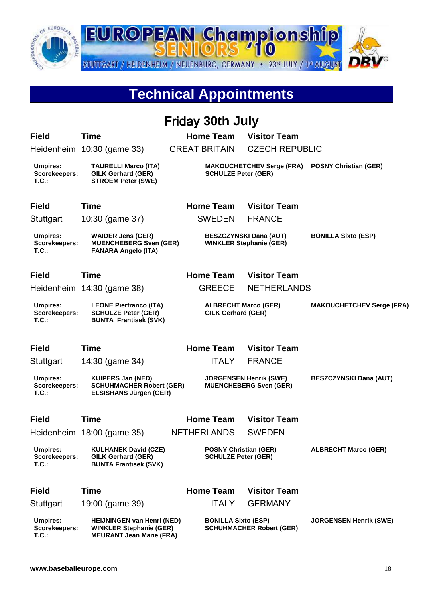

# **Technical Appointments**

|                                           |                                                                                                        | <b>Friday 30th July</b>                                    |                                                                 |                                  |
|-------------------------------------------|--------------------------------------------------------------------------------------------------------|------------------------------------------------------------|-----------------------------------------------------------------|----------------------------------|
| <b>Field</b>                              | <b>Time</b>                                                                                            | <b>Home Team</b>                                           | <b>Visitor Team</b>                                             |                                  |
|                                           | Heidenheim 10:30 (game 33)                                                                             | <b>GREAT BRITAIN</b>                                       | <b>CZECH REPUBLIC</b>                                           |                                  |
| <b>Umpires:</b><br>Scorekeepers:<br>T.C.  | <b>TAURELLI Marco (ITA)</b><br><b>GILK Gerhard (GER)</b><br><b>STROEM Peter (SWE)</b>                  | <b>SCHULZE Peter (GER)</b>                                 | <b>MAKOUCHETCHEV Serge (FRA)</b>                                | <b>POSNY Christian (GER)</b>     |
| <b>Field</b>                              | <b>Time</b>                                                                                            | <b>Home Team</b>                                           | <b>Visitor Team</b>                                             |                                  |
| Stuttgart                                 | 10:30 (game 37)                                                                                        | <b>SWEDEN</b>                                              | <b>FRANCE</b>                                                   |                                  |
| <b>Umpires:</b><br>Scorekeepers:<br>T.C.: | <b>WAIDER Jens (GER)</b><br><b>MUENCHEBERG Sven (GER)</b><br><b>FANARA Angelo (ITA)</b>                |                                                            | <b>BESZCZYNSKI Dana (AUT)</b><br><b>WINKLER Stephanie (GER)</b> | <b>BONILLA Sixto (ESP)</b>       |
| <b>Field</b>                              | <b>Time</b>                                                                                            | <b>Home Team</b>                                           | <b>Visitor Team</b>                                             |                                  |
|                                           | Heidenheim 14:30 (game 38)                                                                             | <b>GREECE</b>                                              | <b>NETHERLANDS</b>                                              |                                  |
| <b>Umpires:</b><br>Scorekeepers:<br>T.C.  | <b>LEONE Pierfranco (ITA)</b><br><b>SCHULZE Peter (GER)</b><br><b>BUNTA Frantisek (SVK)</b>            | <b>ALBRECHT Marco (GER)</b><br><b>GILK Gerhard (GER)</b>   |                                                                 | <b>MAKOUCHETCHEV Serge (FRA)</b> |
| <b>Field</b>                              | <b>Time</b>                                                                                            | <b>Home Team</b>                                           | <b>Visitor Team</b>                                             |                                  |
| Stuttgart                                 | 14:30 (game 34)                                                                                        | <b>ITALY</b>                                               | <b>FRANCE</b>                                                   |                                  |
| <b>Umpires:</b><br>Scorekeepers:<br>T.C.  | <b>KUIPERS Jan (NED)</b><br><b>SCHUHMACHER Robert (GER)</b><br><b>ELSISHANS Jürgen (GER)</b>           |                                                            | <b>JORGENSEN Henrik (SWE)</b><br><b>MUENCHEBERG Sven (GER)</b>  | <b>BESZCZYNSKI Dana (AUT)</b>    |
| <b>Field</b>                              | Time                                                                                                   | <b>Home Team</b>                                           | <b>Visitor Team</b>                                             |                                  |
|                                           | Heidenheim 18:00 (game 35)                                                                             | <b>NETHERLANDS</b>                                         | <b>SWEDEN</b>                                                   |                                  |
| <b>Umpires:</b><br>Scorekeepers:<br>T.C.  | <b>KULHANEK David (CZE)</b><br><b>GILK Gerhard (GER)</b><br><b>BUNTA Frantisek (SVK)</b>               | <b>POSNY Christian (GER)</b><br><b>SCHULZE Peter (GER)</b> |                                                                 | <b>ALBRECHT Marco (GER)</b>      |
| <b>Field</b>                              | <b>Time</b>                                                                                            | <b>Home Team</b>                                           | <b>Visitor Team</b>                                             |                                  |
| Stuttgart                                 | 19:00 (game 39)                                                                                        | <b>ITALY</b>                                               | <b>GERMANY</b>                                                  |                                  |
| <b>Umpires:</b><br>Scorekeepers:<br>T.C.  | <b>HEIJNINGEN van Henri (NED)</b><br><b>WINKLER Stephanie (GER)</b><br><b>MEURANT Jean Marie (FRA)</b> | <b>BONILLA Sixto (ESP)</b>                                 | <b>SCHUHMACHER Robert (GER)</b>                                 | <b>JORGENSEN Henrik (SWE)</b>    |